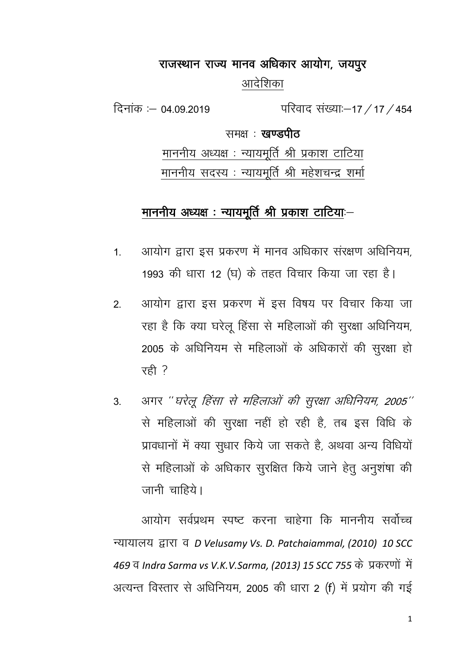# राजस्थान राज्य मानव अधिकार आयोग, जयपुर आदेशिका

दिनांक :— 04.09.2019 परिवाद संख्या:—17 / 17 / 454

समक्षः **खण्डपीत** 

माननीय अध्यक्ष : न्यायमूर्ति श्री प्रकाश टाटिया <u>माननीय सदस्य : न्यायमूर्ति श्री महेशचन्द्र शर्मा</u>

# <u>माननीय अध्यक्ष : न्यायमूर्ति श्री प्रकाश टा</u>टियाः-

- 1. आयोग द्वारा इस प्रकरण में मानव अधिकार संरक्षण अधिनियम, 1993 की धारा 12 (घ) के तहत विचार किया जा रहा है।
- 2. आयोग द्वारा इस प्रकरण में इस विषय पर विचार किया जा रहा है कि क्या घरेलू हिंसा से महिलाओं की सुरक्षा अधिनियम, 2005 के अधिनियम से महिलाओं के अधिकारों की सूरक्षा हो  $\bar{x}$ ही ?
- 3. अगर "घरेलू हिंसा से महिलाओं की सुरक्षा अधिनियम, 2005" से महिलाओं की सुरक्षा नहीं हो रही है, तब इस विधि के प्रावधानों में क्या सुधार किये जा सकते है, अथवा अन्य विधियों से महिलाओं के अधिकार सुरक्षित किये जाने हेतु अनुशंषा की  $\pi$ नी चाहिये।

आयोग सर्वपथम स्पष्ट करना चाहेगा कि माननीय सर्वोच्च U;k;ky; }kjk o *D Velusamy Vs. D. Patchaiammal, (2010) 10 SCC* 469 व *Indra Sarma vs V.K.V.Sarma, (2013) 15 SCC 755* के प्रकरणों में अत्यन्त विस्तार से अधिनियम, 2005 की धारा 2 (f) में प्रयोग की गई

1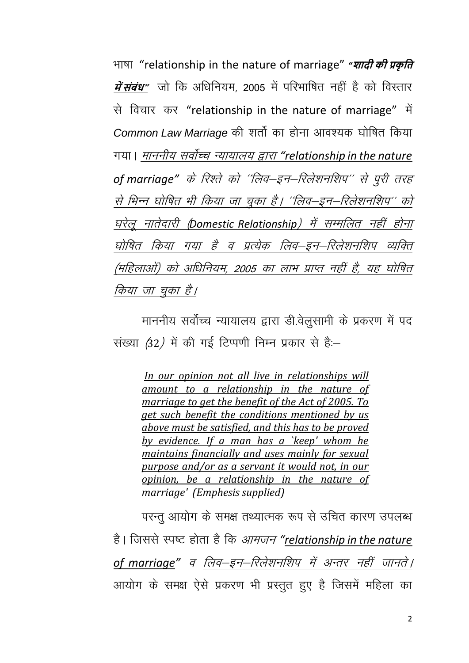Hkk"kk "relationship in the nature of marriage" *"***शादी की प्रकृ ति** *में संबंध***"** जो कि अधिनियम, 2005 में परिभाषित नहीं है को विस्तार से विचार कर "relationship in the nature of marriage" में *Common Law Marriage* की शर्तो का होना आवश्यक घोषित किया x;kA ekuuh; loksZPp U;k;ky; }kjk *"relationship in the nature*  of marriage" के रिश्ते को ''लिव-इन-रिलेशनशिप'' से पुरी तरह से भिन्न घोषित भी किया जा चुका है। ''लिव–इन–रिलेशनशिप'' को घरेलू नातेदारी (Domestic Relationship) में सम्मलित नहीं होना घोषित किया गया है व प्रत्येक लिव–इन–रिलेशनशिप व्यक्ति (महिलाओं) को अधिनियम, 2005 का लाभ प्राप्त नहीं है, यह घोषित किया जा चका है।

माननीय सर्वोच्च न्यायालय द्वारा डी.वेलुसामी के प्रकरण में पद संख्या (32) में की गई टिप्पणी निम्न प्रकार से हैं:-

*In our opinion not all live in relationships will amount to a relationship in the nature of marriage to get the benefit of the Act of 2005. To get such benefit the conditions mentioned by us above must be satisfied, and this has to be proved by evidence. If a man has a `keep' whom he maintains financially and uses mainly for sexual purpose and/or as a servant it would not, in our opinion, be a relationship in the nature of marriage' (Emphesis supplied)*

परन्तु आयोग के समक्ष तथ्यात्मक रूप से उचित कारण उपलब्ध है। जिससे स्पष्ट होता है कि *आमजन "relationship in the nature* of marriage" व लिव–इन–रिलेशनशिप में अन्तर नहीं जानते | आयोग के समक्ष ऐसे प्रकरण भी प्रस्तुत हुए है जिसमें महिला का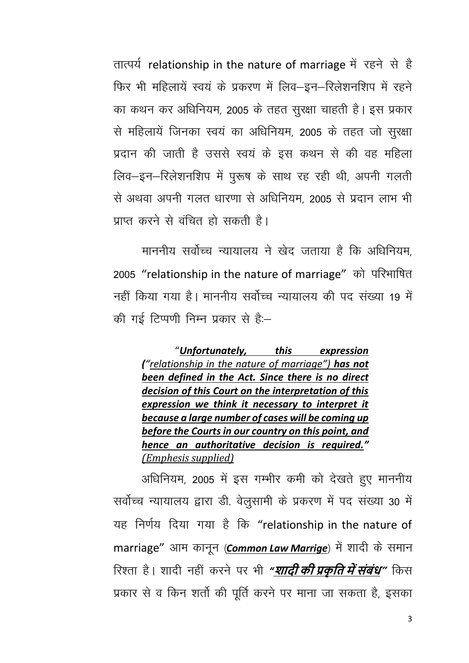तात्पर्य relationship in the nature of marriage में रहने से है फिर भी महिलायें स्वयं के प्रकरण में लिव-इन-रिलेशनशिप में रहने का कथन कर अधिनियम, 2005 के तहत सुरक्षा चाहती है। इस प्रकार से महिलायें जिनका स्वयं का अधिनियम, 2005 के तहत जो सुरक्षा प्रदान की जाती है उससे स्वयं के इस कथन से की वह महिला लिव-इन-रिलेशनशिप में पुरूष के साथ रह रही थी, अपनी गलती से अथवा अपनी गलत धारणा से अधिनियम, 2005 से प्रदान लाभ भी <u>पाप्त करने से वंचित हो सकती है।</u>

माननीय सर्वोच्च न्यायालय ने खेद जताया है कि अधिनियम. 2005 "relationship in the nature of marriage" को परिभाषित नहीं किया गया है। माननीय सर्वोच्च न्यायालय की पद संख्या 19 में की गई टिप्पणी निम्न प्रकार से हैं:--

"*Unfortunately, this expression ("relationship in the nature of marriage") has not been defined in the Act. Since there is no direct decision of this Court on the interpretation of this expression we think it necessary to interpret it because a large number of cases will be coming up before the Courts in our country on this point, and hence an authoritative decision is required." (Emphesis supplied)*

अधिनियम, 2005 में इस गम्भीर कमी को देखते हुए माननीय सर्वोच्च न्यायालय द्वारा डी. वेलुसामी के प्रकरण में पद संख्या 30 में यह निर्णय दिया गया है कि "relationship in the nature of marriage" आम कानून (**Common Law Marrige**) में शादी के समान रिश्ता है। शादी नहीं करने पर भी *"<mark>शादी की प्रकृति में संबंध</mark>" कि*स प्रकार से व किन शर्तो की पूर्ति करने पर माना जा सकता है, इसका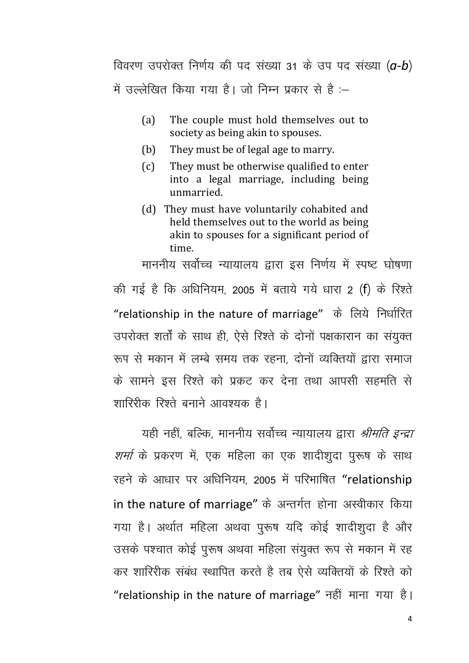विवरण उपरोक्त निर्णय की पद संख्या 31 के उप पद संख्या (a-b) में उल्लेखित किया गया है। जो निम्न प्रकार से है :-

- $(a)$ The couple must hold themselves out to society as being akin to spouses.
- They must be of legal age to marry. (b)
- $(c)$ They must be otherwise qualified to enter into a legal marriage, including being unmarried.
- (d) They must have voluntarily cohabited and held themselves out to the world as being akin to spouses for a significant period of time.

माननीय सर्वोच्च न्यायालय द्वारा इस निर्णय में स्पष्ट घोषणा की गई है कि अधिनियम, 2005 में बताये गये धारा 2 (f) के रिश्ते "relationship in the nature of marriage" के लिये निर्धारित उपरोक्त शर्तों के साथ ही, ऐसे रिश्ते के दोनों पक्षकारान का संयुक्त रूप से मकान में लम्बे समय तक रहना दोनों व्यक्तियों द्वारा समाज के सामने इस रिश्ते को प्रकट कर देना तथा आपसी सहमति से शारिरीक रिश्ते बनाने आवश्यक है।

यही नहीं, बल्कि, माननीय सर्वोच्च न्यायालय द्वारा *श्रीमति इन्द्रा शर्मा* के प्रकरण में, एक महिला का एक शादीशूदा पुरूष के साथ रहने के आधार पर अधिनियम, 2005 में परिभाषित "relationship in the nature of marriage" के अन्तर्गत होना अस्वीकार किया गया है। अर्थात महिला अथवा पुरूष यदि कोई शादीशूदा है और उसके पश्चात कोई पुरूष अथवा महिला संयुक्त रूप से मकान में रह कर शारिरीक संबंध स्थापित करते है तब ऐसे व्यक्तियों के रिश्ते को "relationship in the nature of marriage" नहीं माना गया है।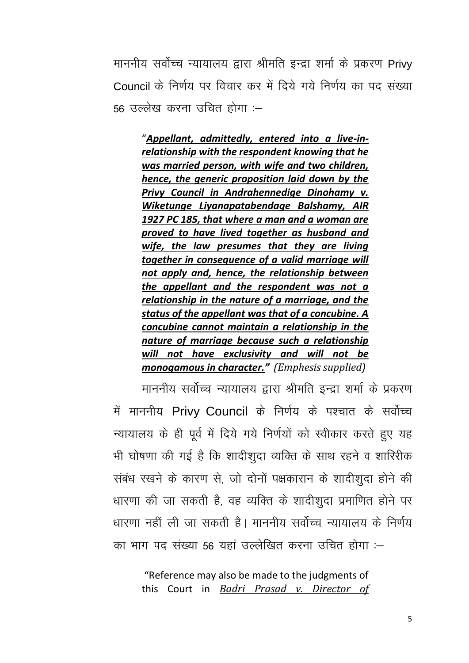माननीय सर्वोच्च न्यायालय द्वारा श्रीमति इन्द्रा शर्मा के प्रकरण Privv Council के निर्णय पर विचार कर में दिये गये निर्णय का पद संख्या .56 उल्लेख करना उचित होगा :—

"Appellant, admittedly, entered into a live-inrelationship with the respondent knowing that he was married person, with wife and two children, hence, the generic proposition laid down by the Privy Council in Andrahennedige Dinohamy v. Wiketunge Liyanapatabendage Balshamy, AIR 1927 PC 185, that where a man and a woman are proved to have lived together as husband and wife, the law presumes that they are living together in consequence of a valid marriage will not apply and, hence, the relationship between the appellant and the respondent was not a relationship in the nature of a marriage, and the status of the appellant was that of a concubine. A concubine cannot maintain a relationship in the nature of marriage because such a relationship will not have exclusivity and will not be monogamous in character." (Emphesis supplied)

माननीय सर्वोच्च न्यायालय द्वारा श्रीमति इन्द्रा शर्मा के प्रकरण में माननीय Privy Council के निर्णय के पश्चात के सर्वोच्च न्यायालय के ही पूर्व में दिये गये निर्णयों को स्वीकार करते हुए यह भी घोषणा की गई है कि शादीशुदा व्यक्ति के साथ रहने व शारिरीक संबंध रखने के कारण से, जो दोनों पक्षकारान के शादीशूदा होने की धारणा की जा सकती है, वह व्यक्ति के शादीशुदा प्रमाणित होने पर धारणा नहीं ली जा सकती है। माननीय सर्वोच्च न्यायालय के निर्णय का भाग पद संख्या 56 यहां उल्लेखित करना उचित होगा :–

"Reference may also be made to the judgments of this Court in Badri Prasad v. Director of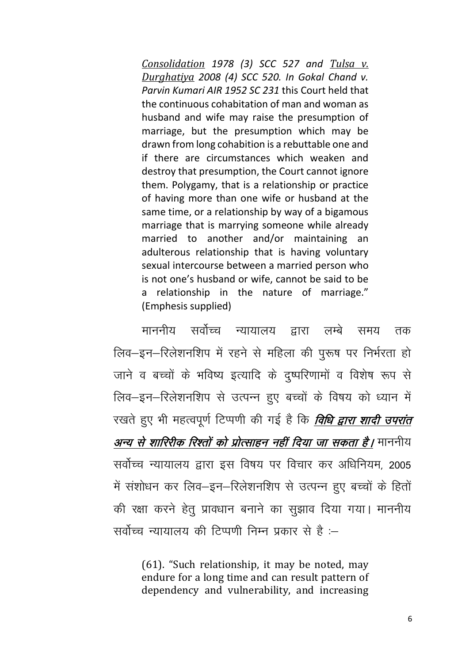*[Consolidation](https://indiankanoon.org/doc/215649/) 1978 (3) SCC 527 and [Tulsa v.](https://indiankanoon.org/doc/988131/)  [Durghatiya](https://indiankanoon.org/doc/988131/) 2008 (4) SCC 520. In Gokal Chand v. Parvin Kumari AIR 1952 SC 231* this Court held that the continuous cohabitation of man and woman as husband and wife may raise the presumption of marriage, but the presumption which may be drawn from long cohabition is a rebuttable one and if there are circumstances which weaken and destroy that presumption, the Court cannot ignore them. Polygamy, that is a relationship or practice of having more than one wife or husband at the same time, or a relationship by way of a bigamous marriage that is marrying someone while already married to another and/or maintaining an adulterous relationship that is having voluntary sexual intercourse between a married person who is not one's husband or wife, cannot be said to be a relationship in the nature of marriage." (Emphesis supplied)

<u>माननीय सर्वोच्च न्यायालय द्वारा लम्बे समय तक</u> लिव-इन-रिलेशनशिप में रहने से महिला की पुरूष पर निर्भरता हो जाने व बच्चों के भविष्य इत्यादि के दुष्परिणामों व विशेष रूप से लिव-इन-रिलेशनशिप से उत्पन्न हुए बच्चों के विषय को ध्यान में रखते हुए भी महत्वपूर्ण टिप्पणी की गई है कि *विधि द्वारा शादी उपरांत* <mark>अन्य *से शारिरीक रिश्तों को प्रोत्साहन नहीं दिया जा सकता है।* माननीय</mark> सर्वोच्च न्यायालय द्वारा इस विषय पर विचार कर अधिनियम, 2005 में संशोधन कर लिव-इन-रिलेशनशिप से उत्पन्न हुए बच्चों के हितों की रक्षा करने हेतू प्रावधान बनाने का सूझाव दिया गया। माननीय सर्वोच्च न्यायालय की टिप्पणी निम्न प्रकार से है :–

(61). "Such relationship, it may be noted, may endure for a long time and can result pattern of dependency and vulnerability, and increasing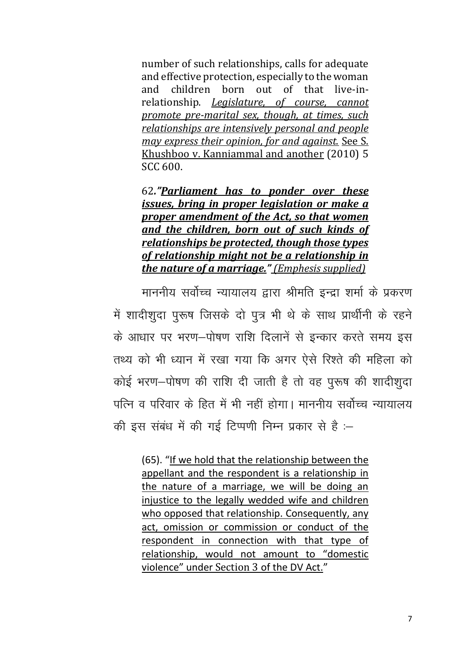number of such relationships, calls for adequate and effective protection, especially to the woman and children born out of that live-inrelationship. *Legislature, of course, cannot promote pre-marital sex, though, at times, such relationships are intensively personal and people may express their opinion, for and against.* [See S.](https://indiankanoon.org/doc/1327342/)  [Khushboo v. Kanniammal and another](https://indiankanoon.org/doc/1327342/) (2010) 5 SCC 600.

62*."Parliament has to ponder over these issues, bring in proper legislation or make a proper amendment of the Act, so that women and the children, born out of such kinds of relationships be protected, though those types of relationship might not be a relationship in the nature of a marriage." (Emphesis supplied)*

माननीय सर्वोच्च न्यायालय द्वारा श्रीमति इन्द्रा शर्मा के प्रकरण में शादीशूदा पुरूष जिसके दो पुत्र भी थे के साथ प्रार्थीनी के रहने के आधार पर भरण-पोषण राशि दिलानें से इन्कार करते समय इस तथ्य को भी ध्यान में रखा गया कि अगर ऐसे रिश्ते की महिला को कोई भरण-पोषण की राशि दी जाती है तो वह पुरूष की शादीशूदा पत्नि व परिवार के हित में भी नहीं होगा। माननीय सर्वोच्च न्यायालय की इस संबंध में की गई टिप्पणी निम्न प्रकार से है :-

(65). "If we hold that the relationship between the appellant and the respondent is a relationship in the nature of a marriage, we will be doing an injustice to the legally wedded wife and children who opposed that relationship. Consequently, any act, omission or commission or conduct of the respondent in connection with that type of relationship, would not amount to "domestic violence" under [Section 3](https://indiankanoon.org/doc/406908/) of the DV Act."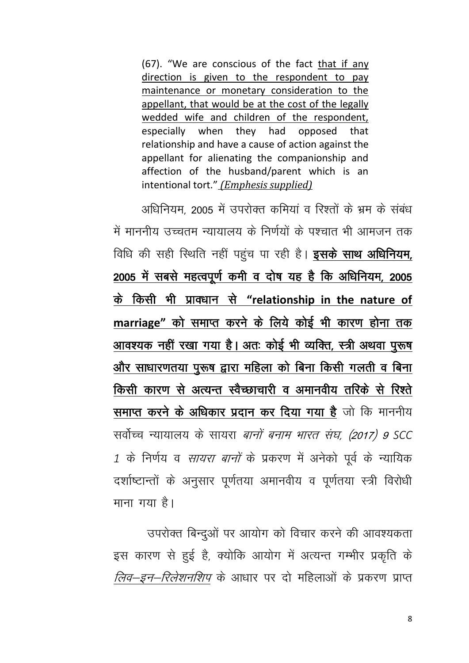(67). "We are conscious of the fact that if any direction is given to the respondent to pay maintenance or monetary consideration to the appellant, that would be at the cost of the legally wedded wife and children of the respondent, especially when they had opposed that relationship and have a cause of action against the appellant for alienating the companionship and affection of the husband/parent which is an intentional tort." (Emphesis supplied)

अधिनियम, 2005 में उपरोक्त कमियां व रिश्तों के भ्रम के संबंध में माननीय उच्चतम न्यायालय के निर्णयों के पश्चात भी आमजन तक विधि की सही स्थिति नहीं पहुंच पा रही है। **इसके साथ अधिनियम**, 2005 में सबसे महत्वपूर्ण कमी व दोष यह है कि अधिनियम, 2005 के किसी भी प्रावधान से "relationship in the nature of marriage" को समाप्त करने के लिये कोई भी कारण होना तक आवश्यक नहीं रखा गय<u>ा है। अतः कोई भी व्यक्ति, स्त्री अथवा पुरूष</u> और साधारणतया पुरूष द्वारा महिला को बिना किसी गलती व बिना किसी कारण से अत्यन्त स्वैच्छाचारी व अमानवीय तरिके से रिश्ते समाप्त करने के अधिकार प्रदान कर दिया गया है जो कि माननीय सर्वोच्च न्यायालय के सायरा *बानों बनाम भारत संघ, (2017) 9 SCC* 1 के निर्णय व सायरा बानों के प्रकरण में अनेको पूर्व के न्यायिक दर्शाष्टान्तों के अनुसार पूर्णतया अमानवीय व पूर्णतया स्त्री विरोधी माना गया है।

उपरोक्त बिन्दुओं पर आयोग को विचार करने की आवश्यकता इस कारण से हुई है, क्योकि आयोग में अत्यन्त गम्भीर प्रकृति के *लिव-इन-रिलेशनशिप* के आधार पर दो महिलाओं के प्रकरण प्राप्त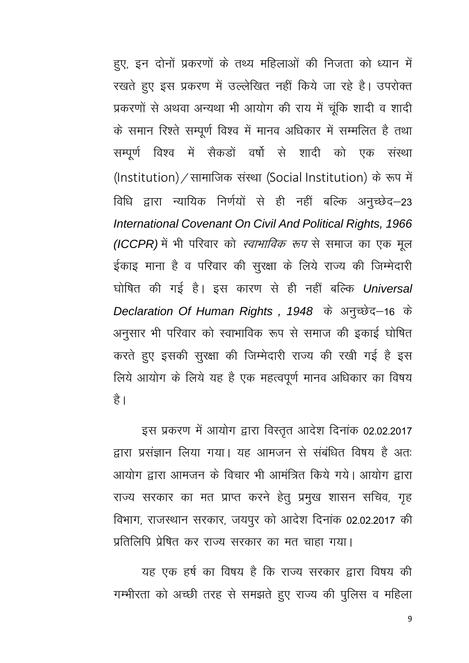हुए, इन दोनों प्रकरणों के तथ्य महिलाओं की निजता को ध्यान में रखते हुए इस प्रकरण में उल्लेखित नहीं किये जा रहे है। उपरोक्त प्रकरणों से अथवा अन्यथा भी आयोग की राय में चूंकि शादी व शादी के समान रिश्ते सम्पूर्ण विश्व में मानव अधिकार में सम्मलित है तथा सम्पूर्ण विश्व में सैकडों वर्षो से शादी को एक संस्था (Institution)/सामाजिक संस्था (Social Institution) के रूप में विधि द्वारा न्यायिक निर्णयों से ही नहीं बल्कि अनुच्छेद–23 *International Covenant On Civil And Political Rights, 1966 (ICCPR)* में भी परिवार को *स्वाभाविक रूप* से समाज का एक मूल ईकाइ माना है व परिवार की सुरक्षा के लिये राज्य की जिम्मेदारी घोषित की गई है। इस कारण से ही नहीं बल्कि Universal Declaration Of Human Rights, 1948 के अनुच्छेद-16 के अनुसार भी परिवार को स्वाभाविक रूप से समाज की इकाई घोषित करते हुए इसकी सुरक्षा की जिम्मेदारी राज्य की रखी गई है इस लिये आयोग के लिये यह है एक महत्वपूर्ण मानव अधिकार का विषय है।

इस प्रकरण में आयोग द्वारा विस्तृत आदेश दिनांक 02.02.2017 हारा प्रसंज्ञान लिया गया। यह आमजन से संबंधित विषय है अतः आयोग द्वारा आमजन के विचार भी आमंत्रित किये गये। आयोग द्वारा राज्य सरकार का मत प्राप्त करने हेतु प्रमुख शासन सचिव, गृह विभाग, राजस्थान सरकार, जयपुर को आदेश दिनांक 02.02.2017 की प्रतिलिपि प्रेषित कर राज्य सरकार का मत चाहा गया।

यह एक हर्ष का विषय है कि राज्य सरकार द्वारा विषय की गम्भीरता को अच्छी तरह से समझते हुए राज्य की पुलिस व महिला

9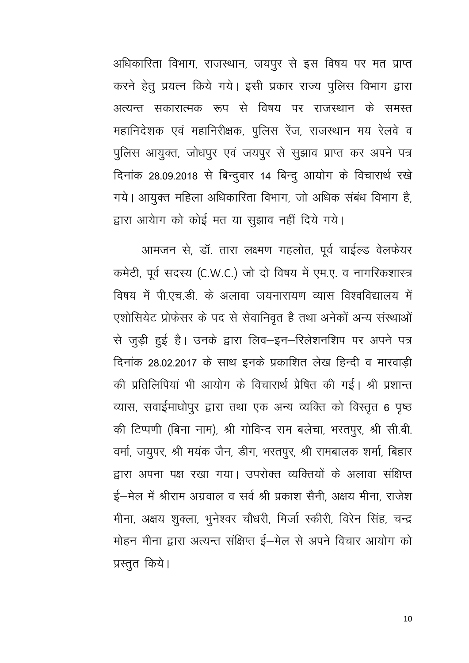अधिकारिता विभाग, राजस्थान, जयपूर से इस विषय पर मत प्राप्त करने हेतु प्रयत्न किये गये। इसी प्रकार राज्य पुलिस विभाग द्वारा अत्यन्त सकारात्मक रूप से विषय पर राजस्थान के समस्त महानिदेशक एवं महानिरीक्षक, पुलिस रेंज, राजस्थान मय रेलवे व पुलिस आयुक्त, जोधपुर एवं जयपुर से सुझाव प्राप्त कर अपने पत्र दिनांक 28.09.2018 से बिन्दुवार 14 बिन्दू आयोग के विचारार्थ रखे गये। आयुक्त महिला अधिकारिता विभाग, जो अधिक संबंध विभाग है, द्वारा आयेाग को कोई मत या सुझाव नहीं दिये गये।

आमजन से, डॉ. तारा लक्ष्मण गहलोत, पूर्व चाईल्ड वेलफेयर कमेटी, पूर्व सदस्य (C.W.C.) जो दो विषय में एम.ए. व नागरिकशास्त्र विषय में पी.एच.डी. के अलावा जयनारायण व्यास विश्वविद्यालय में एशोसियेट प्रोफेसर के पद से सेवानिवृत है तथा अनेकों अन्य संस्थाओं से जुड़ी हुई है। उनके द्वारा लिव–इन–रिलेशनशिप पर अपने पत्र दिनांक 28.02.2017 के साथ इनके प्रकाशित लेख हिन्दी व मारवाडी की प्रतिलिपियां भी आयोग के विचारार्थ प्रेषित की गई। श्री प्रशान्त व्यास, सवाईमाधोपुर द्वारा तथा एक अन्य व्यक्ति को विस्तृत 6 पृष्ठ की टिप्पणी (बिना नाम), श्री गोविन्द राम बलेचा, भरतपुर, श्री सी.बी. वर्मा, जयुपर, श्री मयंक जैन, डीग, भरतपुर, श्री रामबालक शर्मा, बिहार द्वारा अपना पक्ष रखा गया। उपरोक्त व्यक्तियों के अलावा संक्षिप्त ई—मेल में श्रीराम अग्रवाल व सर्व श्री प्रकाश सैनी, अक्षय मीना, राजेश मीना, अक्षय शुक्ला, भुनेश्वर चौधरी, मिर्जा स्कीरी, विरेन सिंह, चन्द्र मोहन मीना द्वारा अत्यन्त संक्षिप्त ई–मेल से अपने विचार आयोग को प्रस्तुत किये।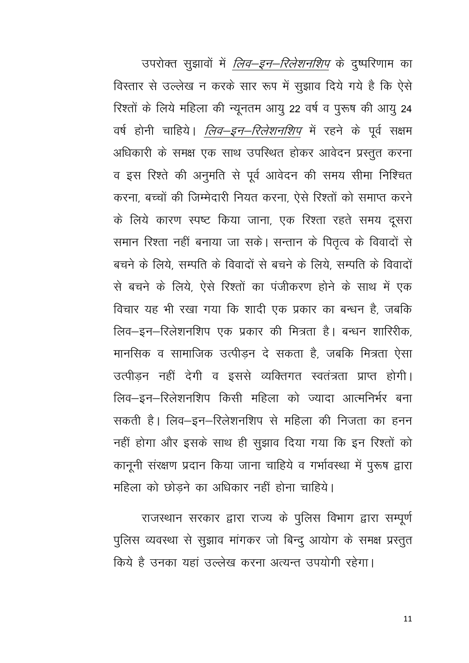उपरोक्त सूझावों में *लिव–इन–रिलेशनशिप* के दुष्परिणाम का विस्तार से उल्लेख न करके सार रूप में सुझाव दिये गये है कि ऐसे रिश्तों के लिये महिला की न्यूनतम आयु 22 वर्ष व पुरूष की आयु 24 वर्ष होनी चाहिये। *लिव–इन–रिलेशनशिप* में रहने के पूर्व सक्षम अधिकारी के समक्ष एक साथ उपस्थित होकर आवेदन प्रस्तुत करना व इस रिश्ते की अनुमति से पूर्व आवेदन की समय सीमा निश्चित करना बच्चों की जिम्मेदारी नियत करना ऐसे रिश्तों को समाप्त करने के लिये कारण स्पष्ट किया जाना, एक रिश्ता रहते समय दूसरा समान रिश्ता नहीं बनाया जा सके। सन्तान के पितृत्व के विवादों से बचने के लिये सम्पति के विवादों से बचने के लिये सम्पति के विवादों से बचने के लिये. ऐसे रिश्तों का पंजीकरण होने के साथ में एक विचार यह भी रखा गया कि शादी एक प्रकार का बन्धन है, जबकि लिव-इन-रिलेशनशिप एक प्रकार की मित्रता है। बन्धन शारिरीक, मानसिक व सामाजिक उत्पीडन दे सकता है, जबकि मित्रता ऐसा उत्पीडन नहीं देगी व इससे व्यक्तिगत स्वतंत्रता प्राप्त होगी। लिव-इन-रिलेशनशिप किसी महिला को ज्यादा आत्मनिर्भर बना सकती है। लिव–इन–रिलेशनशिप से महिला की निजता का हनन नहीं होगा और इसके साथ ही सुझाव दिया गया कि इन रिश्तों को कानूनी संरक्षण प्रदान किया जाना चाहिये व गर्भावस्था में पुरूष द्वारा महिला को छोड़ने का अधिकार नहीं होना चाहिये।

राजस्थान सरकार द्वारा राज्य के पुलिस विभाग द्वारा सम्पूर्ण पुलिस व्यवस्था से सूझाव मांगकर जो बिन्दू आयोग के समक्ष प्रस्तुत किये है उनका यहां उल्लेख करना अत्यन्त उपयोगी रहेगा।

11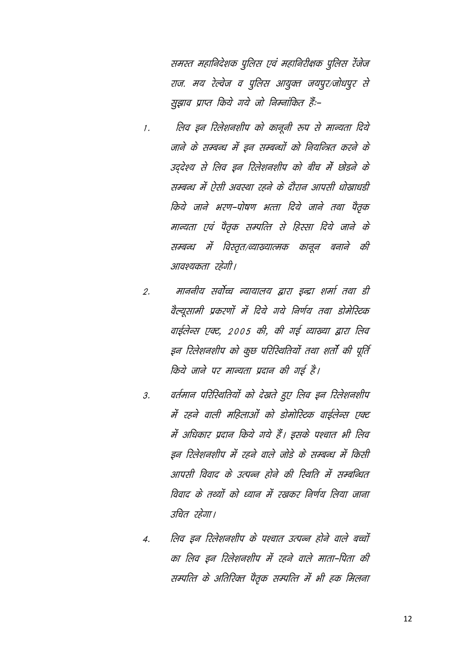समस्त महानिदेशक पुलिस एवं महानिरीक्षक पुलिस रेंजेज राज. मय रेल्वेज व पुलिस आयुक्त जयपूर/जोधपूर से सुझाव प्राप्त किये गये जो निम्नांकित हैं:-

- लिव इन रिलेशनशीप को कानूनी रूप से मान्यता दिये  $\mathcal{I}$ . जाने के सम्बन्ध में डन सम्बन्धों को नियन्त्रित करने के उददेश्य से लिव इन रिलेशनशीप को बीच में छोड़ने के सम्बन्ध में ऐसी अवस्था रहने के दौरान आपसी धोखाधडी किये जाने भरण-पोषण भत्ता दिये जाने तथा पैतक मान्यता एवं पैतृक सम्पत्ति से हिस्सा दिये जाने के सम्बन्ध में विस्तृत/व्याख्यात्मक कानून बनाने की आवश्यकता रहेगी।
- माननीय सर्वोच्च न्यायालय द्वारा इन्द्रा शर्मा तथा डी  $\overline{2}$ . वैल्यूसामी प्रकरणों में दिये गये निर्णय तथा डोमेरिटक वाईलेन्स एक्ट, 2005 की, की गई व्याख्या द्वारा लिव इन रिलेशनशीप को कूछ परिस्थितियों तथा शर्तो की पूर्ति किये जाने पर मान्यता प्रदान की गई है।
- वर्तमान परिस्थितियों को देखते हुए लिव इन रिलेशनशीप  $\overline{3}$ . में रहने वाली महिलाओं को डोमोरिटक वाईलेन्स एक्ट में अधिकार प्रदान किये गये हैं। इसके पश्चात भी लिव इन रिलेशनशीप में रहने वाले जोडे के सम्बन्ध में किसी आपसी विवाद के उत्पन्न होने की रिथति में सम्बन्धित विवाद के तथ्यों को ध्यान में रखकर निर्णय लिया जाना उचित रहेगा।
- लिव इन रिलेशनशीप के पश्चात उत्पन्न होने वाले बच्चों  $\overline{A}$ . का लिव इन रिलेशनशीप में रहने वाले माता-पिता की सम्पत्ति के अतिरिक्त पैतृक सम्पत्ति में भी हक मिलना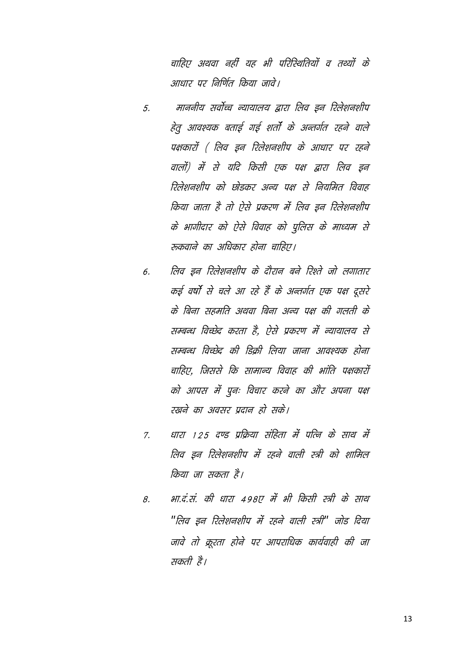चाहिए अथवा नहीं यह भी परिस्थितियों व तथ्यों के आधार पर निर्णित किया जावे।

- माननीय सर्वोच्च न्यायालय द्वारा लिव डन रिलेशनशीप 5. हेतू आवश्यक बताई गई शर्तो के अन्तर्गत रहने वाले पक्षकारों ( लिव इन रिलेशनशीप के आधार पर रहने वालों) में से यदि किसी एक पक्ष द्वारा लिव इन रिलेशनशीप को छोड़कर अन्य पक्ष से नियमित विवाह किया जाता है तो ऐसे प्रकरण में लिव डन रिलेशनशीप के भागीदार को ऐसे विवाह को पुलिस के माध्यम से रुकवाने का अधिकार होना चाहिए।
- लिव डन रिलेशनशीप के दौरान बने रिश्ते जो लगातार 6. कई वर्षों से चले आ रहे हैं के अन्तर्गत एक पक्ष दूसरे के बिना सहमति अथवा बिना अन्य पक्ष की गलती के सम्बन्ध विच्छेद करता है. ऐसे प्रकरण में न्यायालय से सम्बन्ध विच्छेद की डिकी लिया जाना आवश्यक होना चाहिए. जिससे कि सामान्य विवाह की भांति पक्षकारों को आपस में पूनः विचार करने का और अपना पक्ष रखने का अवसर प्रदान हो सके।
- धारा 125 दण्ड प्रक्रिया संहिता में पत्नि के साथ में  $\mathcal{Z}$ लिव डन रिलेशनशीप में रहने वाली स्त्री को शामिल किया जा सकता है।
- भा.दं.सं. की धारा 498ए में भी किसी स्त्री के साथ 8. "लिव इन रिलेशनशीप में रहने वाली स्त्री" जोड दिया जावे तो क्रूरता होने पर आपराधिक कार्यवाही की जा सकती है।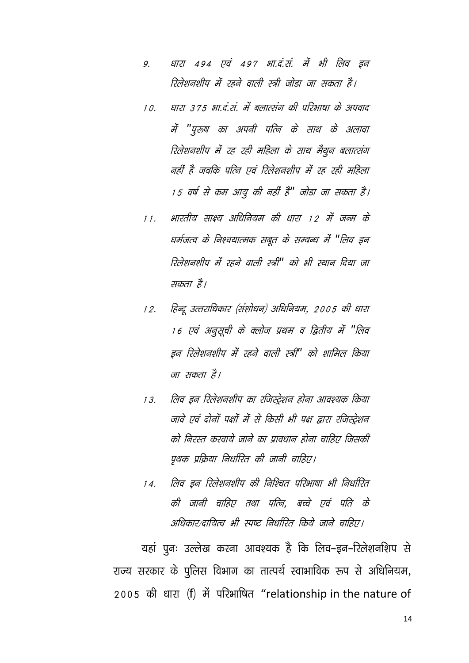- धारा 494 एवं 497 भा.दं.सं. में भी लिव इन 9. रिलेशनशीप में रहने वाली स्त्री जोडा जा सकता है।
- धारा ३७.५ भा.दं.सं. में बलात्संग की परिभाषा के अपवाद  $10.$ में "पुरुष का अपनी पत्नि के साथ के अलावा रिलेशनशीप में रह रही महिला के साथ मैथून बलात्संग नहीं है जबकि पत्नि एवं रिलेशनशीप में रह रही महिला 15 वर्ष से कम आयू की नहीं है" जोडा जा सकता है।
- भारतीय साक्ष्य अधिनियम की धारा 12 में जन्म के  $11.$ धर्मजत्व के निश्चयात्मक सबूत के सम्बन्ध में "लिव इन रिलेशनशीप में रहने वाली स्त्री" को भी स्थान दिया जा सकता है।
- हिन्दू उत्तराधिकार (संशोधन) अधिनियम, 2005 की धारा  $12.$ 16 एवं अनुसूची के क्लोज प्रथम व द्वितीय में "लिव इन रिलेशनशीप में रहने वाली स्त्री" को शामिल किया जा सकता है।
- लिव इन रिलेशनशीप का रजिस्ट्रेशन होना आवश्यक किया  $13.$ जावे एवं दोनों पक्षों में से किसी भी पक्ष द्वारा रजिस्ट्रेशन को निरस्त करवाये जाने का प्रावधान होना चाहिए जिसकी पृथक प्रक्रिया निर्धारित की जानी चाहिए।
- लिव डन रिलेशनशीप की निश्चित परिभाषा भी निर्धारित  $14.$ की जानी चाहिए तथा पत्नि, बच्चे एवं पति के अधिकार/दायित्व भी स्पूष्ट निर्धारित किये जाने चाहिए।

यहां पुनः उल्लेख करना आवश्यक है कि लिव–इन–रिलेशनशिप से राज्य सरकार के पुलिस विभाग का तात्पर्य स्वाभाविक रूप से अधिनियम, 2005 की धारा (f) में परिभाषित "relationship in the nature of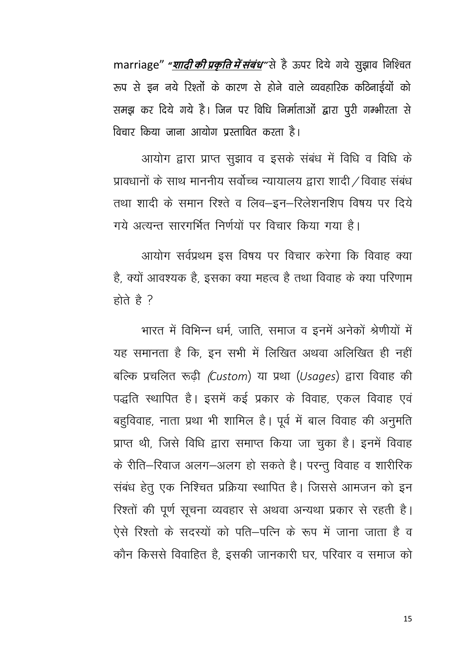marriage" "<u>शा*दी की प्रकृति में संबंध*</u>"से है ऊपर दिये गये सुझाव निश्चित रूप से इन नये रिश्तों के कारण से होने वाले व्यवहारिक कठिनाईयों को समझ कर दिये गये है। जिन पर विधि निर्माताओं द्वारा पुरी गम्भीरता से विचार किया जाना आयोग प्रस्तावित करता है।

आयोग द्वारा प्राप्त सुझाव व इसके संबंध में विधि व विधि के प्रावधानों के साथ माननीय सर्वोच्च न्यायालय द्वारा शादी / विवाह संबंध तथा शादी के समान रिश्ते व लिव-इन-रिलेशनशिप विषय पर दिये गये अत्यन्त सारगर्भित निर्णयों पर विचार किया गया है।

आयोग सर्वप्रथम इस विषय पर विचार करेगा कि विवाह क्या है, क्यों आवश्यक है, इसका क्या महत्व है तथा विवाह के क्या परिणाम होते है ?

भारत में विभिन्न धर्म, जाति, समाज व इनमें अनेकों श्रेणीयों में यह समानता है कि, इन सभी में लिखित अथवा अलिखित ही नहीं बल्कि प्रचलित रूढ़ी (Custom) या प्रथा (Usages) द्वारा विवाह की पद्धति स्थापित है। इसमें कई प्रकार के विवाह, एकल विवाह एवं बहुविवाह, नाता प्रथा भी शामिल है। पूर्व में बाल विवाह की अनुमति प्राप्त थी, जिसे विधि द्वारा समाप्त किया जा चुका है। इनमें विवाह के रीति–रिवाज अलग–अलग हो सकते है। परन्तु विवाह व शारीरिक संबंध हेतू एक निश्चित प्रक्रिया स्थापित है। जिससे आमजन को इन रिश्तों की पूर्ण सूचना व्यवहार से अथवा अन्यथा प्रकार से रहती है। ऐसे रिश्तों के सदस्यों को पति–पत्नि के रूप में जाना जाता है व कौन किससे विवाहित है, इसकी जानकारी घर, परिवार व समाज को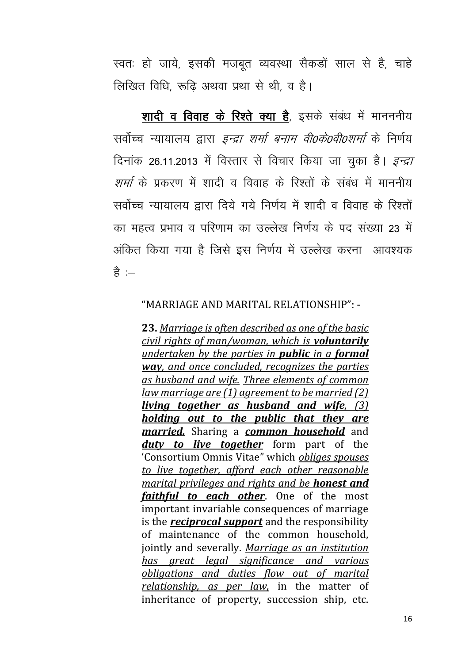स्वतः हो जाये, इसकी मजबूत व्यवस्था सैकडों साल से है, चाहे लिखित विधि रूढि अथवा प्रथा से थी व है।

शादी व विवाह के रिश्ते क्या है, इसके संबंध में मानननीय सर्वोच्च न्यायालय द्वारा *इन्द्रा शर्मा बनाम वी0के0वी0शर्मा* के निर्णय दिनांक 26.11.2013 में विस्तार से विचार किया जा चुका है। *इन्द्रा शर्मा* के पकरण में शादी व विवाह के रिश्तों के संबंध में माननीय सर्वोच्च न्यायालय द्वारा दिये गये निर्णय में शादी व विवाह के रिश्तों का महत्व प्रभाव व परिणाम का उल्लेख निर्णय के पद संख्या 23 में अंकित किया गया है जिसे इस निर्णय में उल्लेख करना आवश्यक है $\,$ : $\,$ 

#### "MARRIAGE AND MARITAL RELATIONSHIP": -

**23.** *Marriage is often described as one of the basic civil rights of man/woman, which is voluntarily undertaken by the parties in public in a formal way, and once concluded, recognizes the parties as husband and wife. Three elements of common law marriage are (1) agreement to be married (2) living together as husband and wife, (3) holding out to the public that they are married.* Sharing a *common household* and *duty to live together* form part of the 'Consortium Omnis Vitae" which *obliges spouses to live together, afford each other reasonable marital privileges and rights and be honest and faithful to each other*. One of the most important invariable consequences of marriage is the *reciprocal support* and the responsibility of maintenance of the common household, jointly and severally. *Marriage as an institution has great legal significance and various obligations and duties flow out of marital relationship, as per law,* in the matter of inheritance of property, succession ship, etc.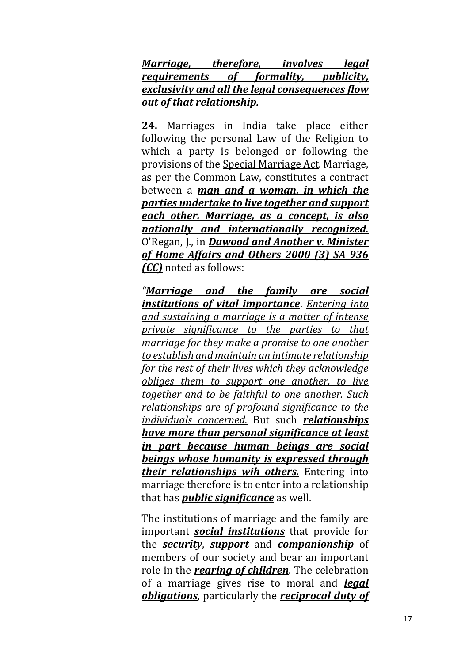*Marriage, therefore, involves legal requirements of formality, publicity, exclusivity and all the legal consequences flow out of that relationship.* 

**24.** Marriages in India take place either following the personal Law of the Religion to which a party is belonged or following the provisions of the [Special Marriage Act.](https://indiankanoon.org/doc/4234/) Marriage, as per the Common Law, constitutes a contract between a *man and a woman, in which the parties undertake to live together and support each other. Marriage, as a concept, is also nationally and internationally recognized.* O'Regan, J., in *Dawood and Another v. Minister of Home Affairs and Others 2000 (3) SA 936 (CC)* noted as follows:

*"Marriage and the family are social institutions of vital importance*. *Entering into and sustaining a marriage is a matter of intense private significance to the parties to that marriage for they make a promise to one another to establish and maintain an intimate relationship for the rest of their lives which they acknowledge obliges them to support one another, to live together and to be faithful to one another. Such relationships are of profound significance to the individuals concerned.* But such *relationships have more than personal significance at least in part because human beings are social beings whose humanity is expressed through their relationships wih others.* Entering into marriage therefore is to enter into a relationship that has *public significance* as well.

The institutions of marriage and the family are important *social institutions* that provide for the *security*, *support* and *companionship* of members of our society and bear an important role in the *rearing of children*. The celebration of a marriage gives rise to moral and *legal obligations*, particularly the *reciprocal duty of*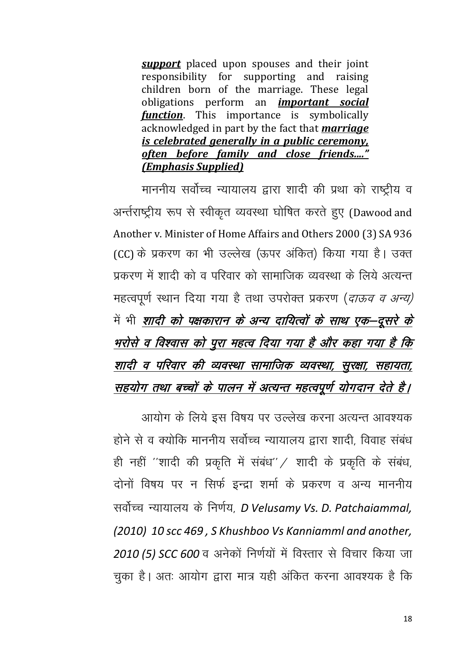**support** placed upon spouses and their joint responsibility for supporting and raising children born of the marriage. These legal obligations perform an *important social function*. This importance is symbolically acknowledged in part by the fact that *marriage* is celebrated generally in a public ceremony, often before family and close friends...." *(Emphasis Supplied)* 

माननीय सर्वोच्च न्यायालय द्वारा शादी की प्रथा को राष्ट्रीय व अर्न्तराष्ट्रीय रूप से स्वीकृत व्यवस्था घोषित करते हुए (Dawood and Another v. Minister of Home Affairs and Others 2000 (3) SA 936 (CC) के प्रकरण का भी उल्लेख (ऊपर अंकित) किया गया है। उक्त प्रकरण में शादी को व परिवार को सामाजिक व्यवस्था के लिये अत्यन्त महत्वपर्ण स्थान दिया गया है तथा उपरोक्त प्रकरण (*दाऊव व अन्य)* में भी *शादी को पक्षकारान के अन्य दायित्वों के साथ एक*-दूसरे के भरोसे व विश्वास को पूरा महत्व दिया गया है और कहा गया है कि शादी व परिवार की व्यवस्था सामाजिक व्यवस्था, सुरक्षा, सहायता, सहयोग तथा बच्चों के पालन में अत्यन्त महत्वपूर्ण योगदान देते है।

आयोग के लिये इस विषय पर उल्लेख करना अत्यन्त आवश्यक होने से व क्योकि माननीय सर्वोच्च न्यायालय द्वारा शादी, विवाह संबंध ही नहीं "शादी की प्रकृति में संबंध" / शादी के प्रकृति के संबंध, दोनों विषय पर न सिर्फ इन्द्रा शर्मा के प्रकरण व अन्य माननीय सर्वोच्च न्यायालय के निर्णय, D Velusamy Vs. D. Patchaiammal, (2010) 10 scc 469, S Khushboo Vs Kanniamml and another, 2010 (5) SCC 600 व अनेकों निर्णयों में विस्तार से विचार किया जा चुका है। अतः आयोग द्वारा मात्र यही अंकित करना आवश्यक है कि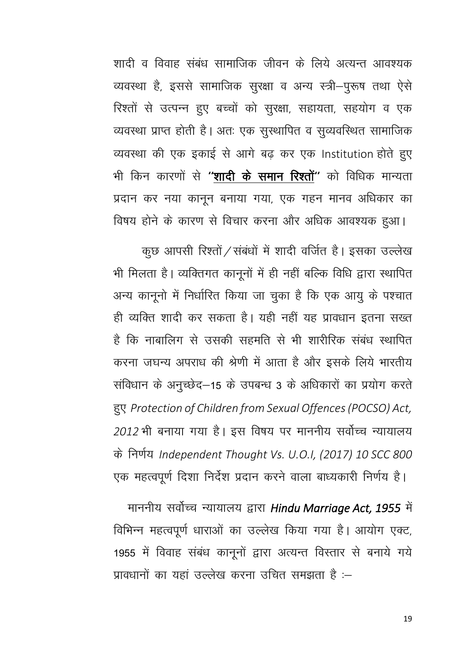शादी व विवाह संबंध सामाजिक जीवन के लिये अत्यन्त आवश्यक व्यवस्था है, इससे सामाजिक सुरक्षा व अन्य स्त्री-पुरूष तथा ऐसे रिश्तों से उत्पन्न हुए बच्चों को सुरक्षा, सहायता, सहयोग व एक व्यवस्था प्राप्त होती है। अतः एक सुस्थापित व सुव्यवस्थित सामाजिक व्यवस्था की एक इकाई से आगे बढ़ कर एक Institution होते हुए भी किन कारणों से **''शादी के समान रिश्तों''** को विधिक मान्यता प्रदान कर नया कानून बनाया गया, एक गहन मानव अधिकार का विषय होने के कारण से विचार करना और अधिक आवश्यक हुआ।

कुछ आपसी रिश्तों / संबंधों में शादी वर्जित है। इसका उल्लेख भी मिलता है। व्यक्तिगत कानूनों में ही नहीं बल्कि विधि द्वारा स्थापित अन्य कानूनो में निर्धारित किया जा चुका है कि एक आयु के पश्चात ही व्यक्ति शादी कर सकता है। यही नहीं यह प्रावधान इतना सख्त है कि नाबालिग से उसकी सहमति से भी शारीरिक संबंध स्थापित करना जघन्य अपराध की श्रेणी में आता है और इसके लिये भारतीय संविधान के अनुच्छेद–15 के उपबन्ध 3 के अधिकारों का प्रयोग करते हुए Protection of Children from Sexual Offences (POCSO) Act, 2012 भी बनाया गया है। इस विषय पर माननीय सर्वोच्च न्यायालय के निर्णय Independent Thought Vs. U.O.I, (2017) 10 SCC 800 एक महत्वपूर्ण दिशा निर्देश प्रदान करने वाला बाध्यकारी निर्णय है।

माननीय सर्वोच्च न्यायालय द्वारा Hindu Marriage Act, 1955 में विभिन्न महत्वपूर्ण धाराओं का उल्लेख किया गया है। आयोग एक्ट, 1955 में विवाह संबंध कानूनों द्वारा अत्यन्त विस्तार से बनाये गये प्रावधानों का यहां उल्लेख करना उचित समझता है :–

19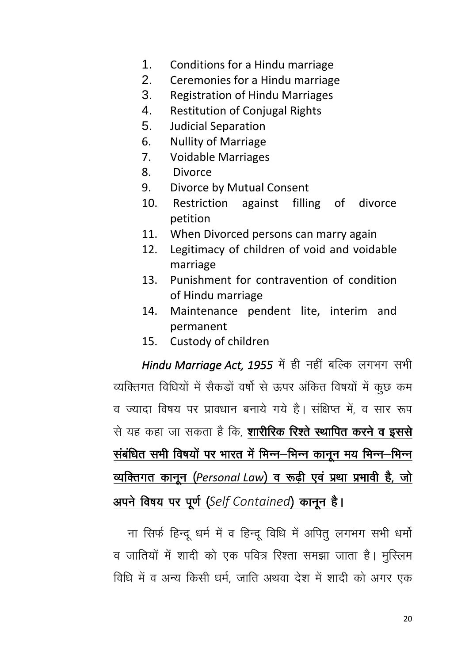- 1. Conditions for a Hindu marriage
- 2. Ceremonies for a Hindu marriage
- 3. Registration of Hindu Marriages
- 4. Restitution of Conjugal Rights
- 5. Judicial Separation
- 6. Nullity of Marriage
- 7. Voidable Marriages
- 8. Divorce
- 9. Divorce by Mutual Consent
- 10. Restriction against filling of divorce petition
- 11. When Divorced persons can marry again
- 12. Legitimacy of children of void and voidable marriage
- 13. Punishment for contravention of condition of Hindu marriage
- 14. Maintenance pendent lite, interim and permanent
- 15. Custody of children

*Hindu Marriage Act, 1955* में ही नहीं बल्कि लगभग सभी व्यक्तिगत विधियों में सैकड़ों वर्षो से ऊपर अंकित विषयों में कूछ कम व ज्यादा विषय पर प्रावधान बनाये गये है। संक्षिप्त में व सार रूप से यह कहा जा सकता है कि, **शारीरिक रिश्ते स्थापित करने व इससे** संबंधित सभी विषयों पर भारत में भिन्न–भिन्न कानून मय भिन्न–भिन्न व्यक्तिगत कानून (Personal Law) व रूढ़ी एवं प्रथा प्रभावी है, जो <u>अपने विषय पर पूर्ण (Self Contained) कानून है।</u>

ना सिर्फ हिन्दू धर्म में व हिन्दू विधि में अपितु लगभग सभी धर्मो व जातियों में शादी को एक पवित्र रिश्ता समझा जाता है। मुस्लिम विधि में व अन्य किसी धर्म, जाति अथवा देश में शादी को अगर एक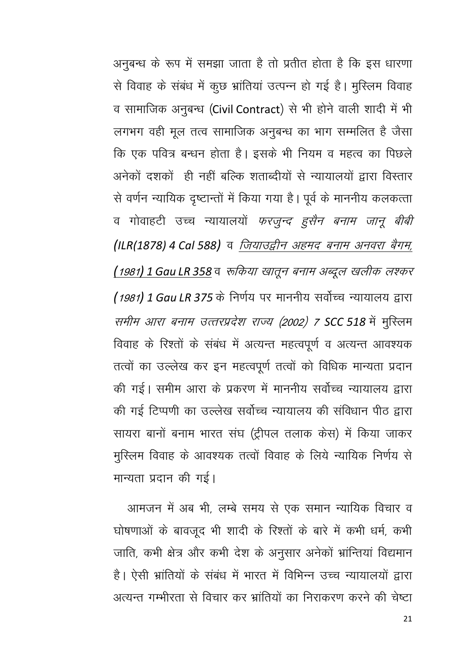अनुबन्ध के रूप में समझा जाता है तो प्रतीत होता है कि इस धारणा से विवाह के संबंध में कुछ भ्रांतियां उत्पन्न हो गई है। मुस्लिम विवाह व सामाजिक अनुबन्ध (Civil Contract) से भी होने वाली शादी में भी लगभग वही मूल तत्व सामाजिक अनुबन्ध का भाग सम्मलित है जैसा कि एक पवित्र बन्धन होता है। इसके भी नियम व महत्व का पिछले अनेकों दशकों ही नहीं बल्कि शताब्दीयों से न्यायालयों द्वारा विस्तार से वर्णन न्यायिक दृष्टान्तों में किया गया है। पूर्व के माननीय कलकत्ता व गोवाहटी उच्च न्यायालयों *फरजुन्द हुसैन बनाम जानू बीबी* (ILR(1878) 4 Cal 588) व लियाउद्वीन अहमद बनाम अनवरा बैगम, <u>(1981) 1 Gau LR 358</u> व रूकिया खातून बनाम अब्दूल खलीक लश्कर (1981) 1 Gau LR 375 के निर्णय पर माननीय सर्वोच्च न्यायालय द्वारा समीम आरा बनाम उत्तरप्रदेश राज्य (2002) 7 SCC 518 में मुस्लिम विवाह के रिश्तों के संबंध में अत्यन्त महत्वपूर्ण व अत्यन्त आवश्यक तत्वों का उल्लेख कर इन महत्वपूर्ण तत्वों को विधिक मान्यता प्रदान की गई। समीम आरा के प्रकरण में माननीय सर्वोच्च न्यायालय द्वारा की गई टिप्पणी का उल्लेख सर्वोच्च न्यायालय की संविधान पीठ द्वारा सायरा बानों बनाम भारत संघ (ट्रीपल तलाक केस) में किया जाकर मुस्लिम विवाह के आवश्यक तत्वों विवाह के लिये न्यायिक निर्णय से मान्यता प्रदान की गई।

आमजन में अब भी, लम्बे समय से एक समान न्यायिक विचार व घोषणाओं के बावजूद भी शादी के रिश्तों के बारे में कभी धर्म, कभी जाति, कभी क्षेत्र और कभी देश के अनुसार अनेकों भ्रान्तियां विद्यमान है। ऐसी भ्रांतियों के संबंध में भारत में विभिन्न उच्च न्यायालयों द्वारा अत्यन्त गम्भीरता से विचार कर भ्रांतियों का निराकरण करने की चेष्टा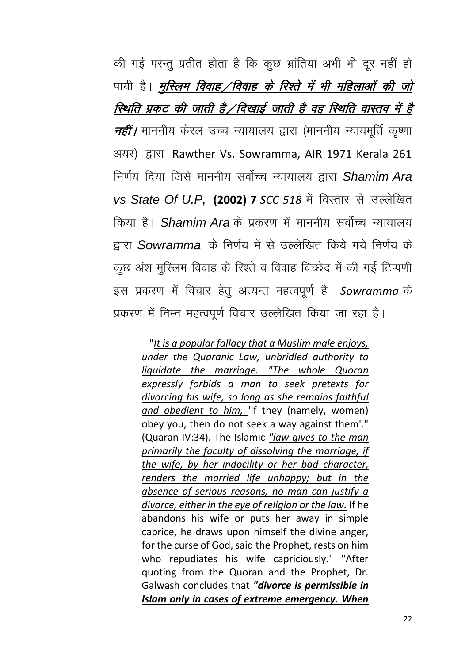की गई परन्तु प्रतीत होता है कि कुछ भ्रांतियां अभी भी दूर नहीं हो पायी है। *मुस्लिम विवाह / विवाह के रिश्ते में भी महिलाओं की जो* स्थिति प्रकट की जाती है /दिखाई जाती है वह स्थिति वास्तव में है नहीं/ माननीय केरल उच्च न्यायालय द्वारा (माननीय न्यायमूर्ति कृष्णा अयर) द्वारा Rawther Vs. Sowramma, AIR 1971 Kerala 261 निर्णय दिया जिसे माननीय सर्वोच्च न्यायालय द्वारा Shamim Ara *vs State Of U.P.* (2002) 7 *SCC 518* में विस्तार से उल्लेखित किया है। *Shamim Ara* के प्रकरण में माननीय सर्वोच्च न्यायालय द्वारा Sowramma के निर्णय में से उल्लेखित किये गये निर्णय के कुछ अंश मुस्लिम विवाह के रिश्ते व विवाह विच्छेद में की गई टिप्पणी इस प्रकरण में विचार हेतु अत्यन्त महत्वपूर्ण है। Sowramma के प्रकरण में निम्न महत्वपूर्ण विचार उल्लेखित किया जा रहा है।

"*It is a popular fallacy that a Muslim male enjoys, under the Quaranic Law, unbridled authority to liquidate the marriage. "The whole Quoran expressly forbids a man to seek pretexts for divorcing his wife, so long as she remains faithful and obedient to him,* 'if they (namely, women) obey you, then do not seek a way against them'." (Quaran IV:34). The Islamic *"law gives to the man primarily the faculty of dissolving the marriage, if the wife, by her indocility or her bad character, renders the married life unhappy; but in the absence of serious reasons, no man can justify a divorce, either in the eye of religion or the law.* If he abandons his wife or puts her away in simple caprice, he draws upon himself the divine anger, for the curse of God, said the Prophet, rests on him who repudiates his wife capriciously." "After quoting from the Quoran and the Prophet, Dr. Galwash concludes that *"divorce is permissible in Islam only in cases of extreme emergency. When*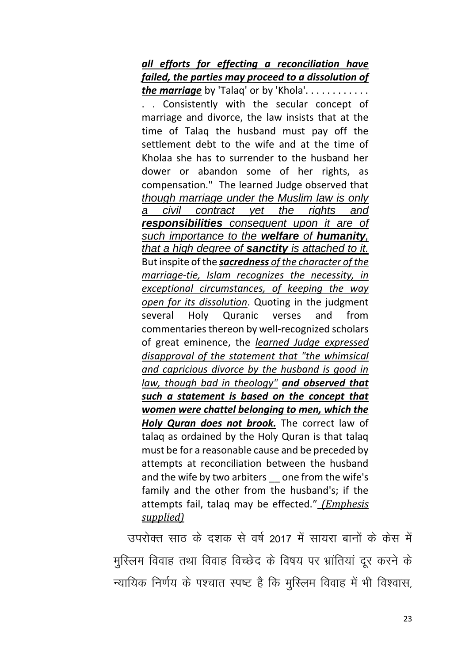*all efforts for effecting a reconciliation have failed, the parties may proceed to a dissolution of the marriage* by 'Talaq' or by 'Khola'. . . . . . . . . . . . . . Consistently with the secular concept of marriage and divorce, the law insists that at the time of Talaq the husband must pay off the settlement debt to the wife and at the time of Kholaa she has to surrender to the husband her dower or abandon some of her rights, as compensation." The learned Judge observed that *though marriage under the Muslim law is only a civil contract yet the rights and responsibilities consequent upon it are of such importance to the welfare of humanity, that a high degree of sanctity is attached to it.* But inspite of the *sacredness of the character of the marriage-tie, Islam recognizes the necessity, in exceptional circumstances, of keeping the way open for its dissolution*. Quoting in the judgment several Holy Quranic verses and from commentaries thereon by well-recognized scholars of great eminence, the *learned Judge expressed disapproval of the statement that "the whimsical and capricious divorce by the husband is good in law, though bad in theology" and observed that such a statement is based on the concept that women were chattel belonging to men, which the Holy Quran does not brook.* The correct law of talaq as ordained by the Holy Quran is that talaq must be for a reasonable cause and be preceded by attempts at reconciliation between the husband and the wife by two arbiters one from the wife's family and the other from the husband's; if the attempts fail, talaq may be effected." *(Emphesis supplied)*

उपरोक्त साठ के दशक से वर्ष 2017 में सायरा बानों के केस में मुस्लिम विवाह तथा विवाह विच्छेद के विषय पर भ्रांतियां दूर करने के न्यायिक निर्णय के पश्चात स्पष्ट है कि मुस्लिम विवाह में भी विश्वास,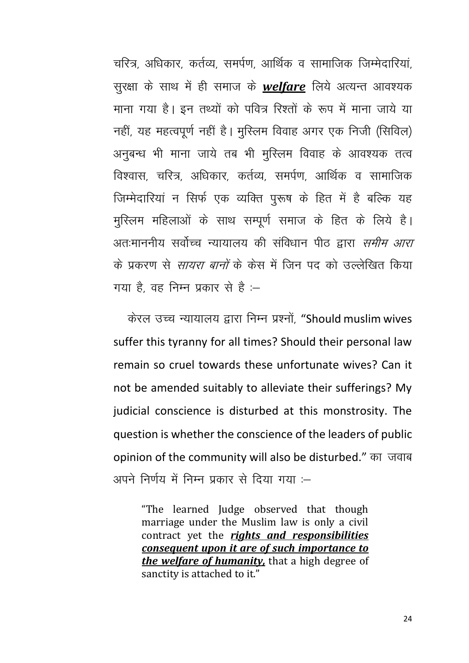चरित्र, अधिकार, कर्तव्य, समर्पण, आर्थिक व सामाजिक जिम्मेदारियां. सुरक्षा के साथ में ही समाज के *welfare* लिये अत्यन्त आवश्यक माना गया है। इन तथ्यों को पवित्र रिश्तों के रूप में माना जाये या नहीं, यह महत्वपूर्ण नहीं है। मुस्लिम विवाह अगर एक निजी (सिविल) अनुबन्ध भी माना जाये तब भी मुस्लिम विवाह के आवश्यक तत्व विश्वास, चरित्र, अधिकार, कर्तव्य, समर्पण, आर्थिक व सामाजिक जिम्मेदारियां न सिर्फ एक व्यक्ति पुरूष के हित में है बल्कि यह मुस्लिम महिलाओं के साथ सम्पूर्ण समाज के हित के लिये है। अतःमाननीय सर्वोच्च न्यायालय की संविधान पीठ द्वारा *समीम आरा* के पकरण से *सायरा बानों* के केस में जिन पद को उल्लेखित किया गया है, वह निम्न प्रकार से है :–

केरल उच्च न्यायालय द्वारा निम्न प्रश्नों, "Should muslim wives suffer this tyranny for all times? Should their personal law remain so cruel towards these unfortunate wives? Can it not be amended suitably to alleviate their sufferings? My judicial conscience is disturbed at this monstrosity. The question is whether the conscience of the leaders of public opinion of the community will also be disturbed." का जवाब अपने निर्णय में निम्न प्रकार से दिया गया :—

"The learned Judge observed that though marriage under the Muslim law is only a civil contract yet the *rights and responsibilities consequent upon it are of such importance to the welfare of humanity,* that a high degree of sanctity is attached to it."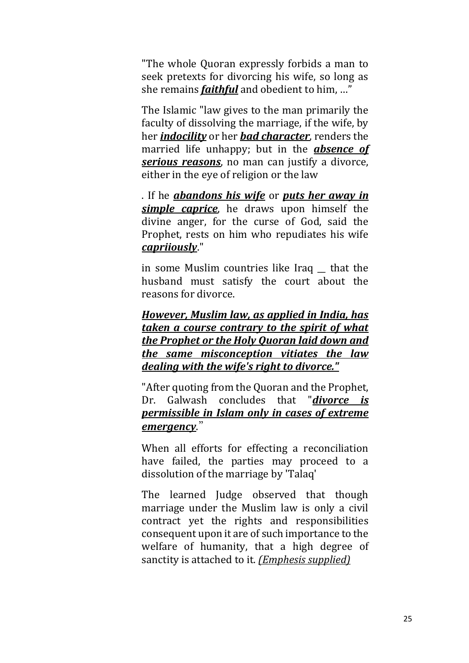"The whole Quoran expressly forbids a man to seek pretexts for divorcing his wife, so long as she remains *faithful* and obedient to him, …"

The Islamic "law gives to the man primarily the faculty of dissolving the marriage, if the wife, by her *indocility* or her *bad character*, renders the married life unhappy; but in the *absence of serious reasons*, no man can justify a divorce, either in the eye of religion or the law

. If he *abandons his wife* or *puts her away in simple caprice*, he draws upon himself the divine anger, for the curse of God, said the Prophet, rests on him who repudiates his wife *capriiously*."

in some Muslim countries like Iraq \_\_ that the husband must satisfy the court about the reasons for divorce.

*However, Muslim law, as applied in India, has taken a course contrary to the spirit of what the Prophet or the Holy Quoran laid down and the same misconception vitiates the law dealing with the wife's right to divorce."*

"After quoting from the Quoran and the Prophet, Dr. Galwash concludes that "*divorce is permissible in Islam only in cases of extreme emergency*."

When all efforts for effecting a reconciliation have failed, the parties may proceed to a dissolution of the marriage by 'Talaq'

The learned Judge observed that though marriage under the Muslim law is only a civil contract yet the rights and responsibilities consequent upon it are of such importance to the welfare of humanity, that a high degree of sanctity is attached to it. *(Emphesis supplied)*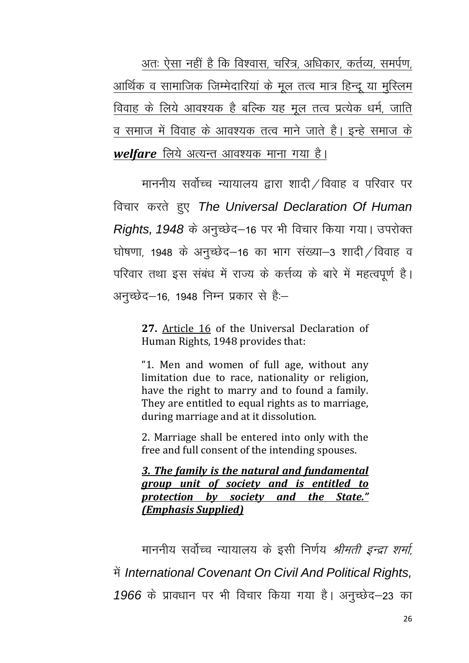अतः ऐसा नहीं है कि विश्वास, चरित्र, अधिकार, कर्तव्य, समर्पण, आर्थिक व सामाजिक जिम्मेदारियां के मूल तत्व मात्र हिन्दू या मुस्लिम विवाह के लिये आवश्यक है बल्कि यह मूल तत्व प्रत्येक धर्म, जाति व समाज में विवाह के आवश्यक तत्व माने जाते है। इन्हे समाज के *welfare* लिये अत्यन्त आवश्यक माना गया है।

माननीय सर्वोच्च न्यायालय द्वारा शादी $\angle$ विवाह व परिवार पर fopkj djrs gq, *The Universal Declaration Of Human Rights, 1948* के अनुच्छेद–16 पर भी विचार किया गया। उपरोक्त घोषणा, 1948 के अनुच्छेद–16 का भाग संख्या–3 शादी / विवाह व परिवार तथा इस संबंध में राज्य के कर्त्तव्य के बारे में महत्वपूर्ण है। अनुच्छेद–16, 1948 निम्न प्रकार से हैं:–

**27.** [Article 16](https://indiankanoon.org/doc/211089/) of the Universal Declaration of Human Rights, 1948 provides that:

"1. Men and women of full age, without any limitation due to race, nationality or religion, have the right to marry and to found a family. They are entitled to equal rights as to marriage, during marriage and at it dissolution.

2. Marriage shall be entered into only with the free and full consent of the intending spouses.

*3. The family is the natural and fundamental group unit of society and is entitled to protection by society and the State." (Emphasis Supplied)*

माननीय सर्वोच्च न्यायालय के इसी निर्णय *श्रीमती इन्द्रा शर्मा*, में International Covenant On Civil And Political Rights, 1966 के प्रावधान पर भी विचार किया गया है। अनुच्छेद–23 का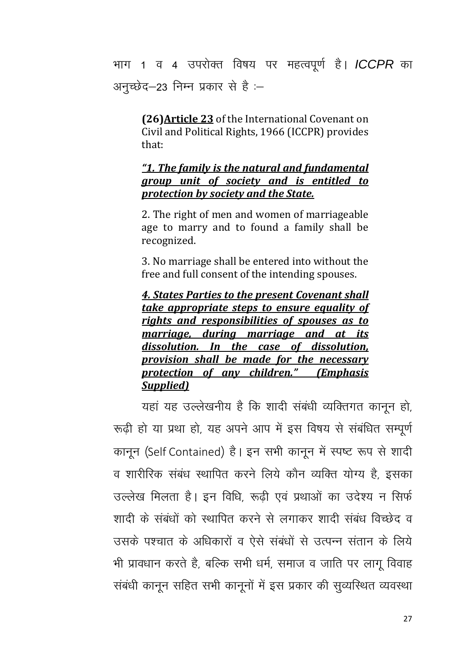भाग 1 व 4 उपरोक्त विषय पर महत्वपूर्ण है। **ICCPR** का अनुच्छेद-23 निम्न प्रकार से है :-

(26) Article 23 of the International Covenant on Civil and Political Rights, 1966 (ICCPR) provides that:

### "1. The family is the natural and fundamental group unit of society and is entitled to protection by society and the State.

2. The right of men and women of marriageable age to marry and to found a family shall be recognized.

3. No marriage shall be entered into without the free and full consent of the intending spouses.

4. States Parties to the present Covenant shall take appropriate steps to ensure equality of rights and responsibilities of spouses as to marriage, during marriage and at its dissolution. In the case of dissolution, provision shall be made for the necessary protection of any children." (Emphasis Supplied)

यहां यह उल्लेखनीय है कि शादी संबंधी व्यक्तिगत कानून हो, रूढ़ी हो या प्रथा हो, यह अपने आप में इस विषय से संबंधित सम्पूर्ण कानून (Self Contained) है। इन सभी कानून में स्पष्ट रूप से शादी व शारीरिक संबंध स्थापित करने लिये कौन व्यक्ति योग्य है, इसका उल्लेख मिलता है। इन विधि, रूढी एवं प्रथाओं का उदेश्य न सिर्फ शादी के संबंधों को स्थापित करने से लगाकर शादी संबंध विच्छेद व उसके पश्चात के अधिकारों व ऐसे संबंधों से उत्पन्न संतान के लिये भी प्रावधान करते है, बल्कि सभी धर्म, समाज व जाति पर लागू विवाह संबंधी कानून सहित सभी कानूनों में इस प्रकार की सूव्यस्थित व्यवस्था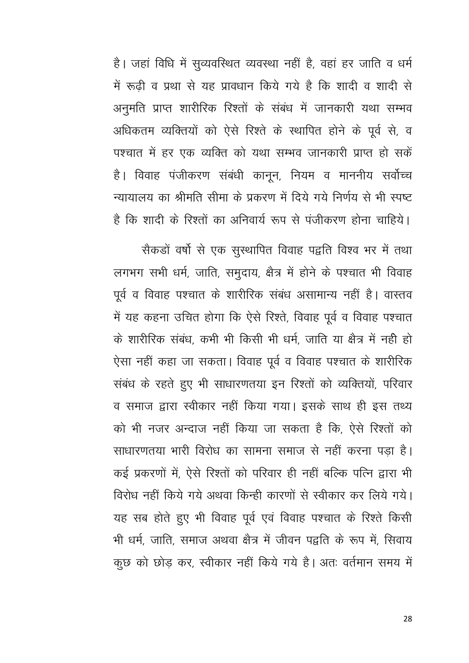है। जहां विधि में सूव्यवस्थित व्यवस्था नहीं है, वहां हर जाति व धर्म में रूढ़ी व प्रथा से यह प्रावधान किये गये है कि शादी व शादी से अनुमति प्राप्त शारीरिक रिश्तों के संबंध में जानकारी यथा सम्भव अधिकतम व्यक्तियों को ऐसे रिश्ते के स्थापित होने के पूर्व से, व पश्चात में हर एक व्यक्ति को यथा सम्भव जानकारी प्राप्त हो सकें है। विवाह पंजीकरण संबंधी कानून, नियम व माननीय सर्वोच्च न्यायालय का श्रीमति सीमा के प्रकरण में दिये गये निर्णय से भी स्पष्ट है कि शादी के रिश्तों का अनिवार्य रूप से पंजीकरण होना चाहिये।

सैकड़ों वर्षो से एक सुस्थापित विवाह पद्वति विश्व भर में तथा लगभग सभी धर्म, जाति, समुदाय, क्षैत्र में होने के पश्चात भी विवाह पूर्व व विवाह पश्चात के शारीरिक संबंध असामान्य नहीं है। वास्तव में यह कहना उचित होगा कि ऐसे रिश्ते, विवाह पूर्व व विवाह पश्चात के शारीरिक संबंध, कभी भी किसी भी धर्म, जाति या क्षेत्र में नही हो ऐसा नहीं कहा जा सकता। विवाह पूर्व व विवाह पश्चात के शारीरिक संबंध के रहते हुए भी साधारणतया इन रिश्तों को व्यक्तियों, परिवार व समाज द्वारा स्वीकार नहीं किया गया। इसके साथ ही इस तथ्य को भी नजर अन्दाज नहीं किया जा सकता है कि ऐसे रिश्तों को साधारणतया भारी विरोध का सामना समाज से नहीं करना पड़ा है। कई प्रकरणों में, ऐसे रिश्तों को परिवार ही नहीं बल्कि पत्नि द्वारा भी विरोध नहीं किये गये अथवा किन्ही कारणों से स्वीकार कर लिये गये। यह सब होते हुए भी विवाह पूर्व एवं विवाह पश्चात के रिश्ते किसी भी धर्म, जाति, समाज अथवा क्षेत्र में जीवन पद्वति के रूप में, सिवाय कूछ को छोड़ कर, स्वीकार नहीं किये गये है। अतः वर्तमान समय में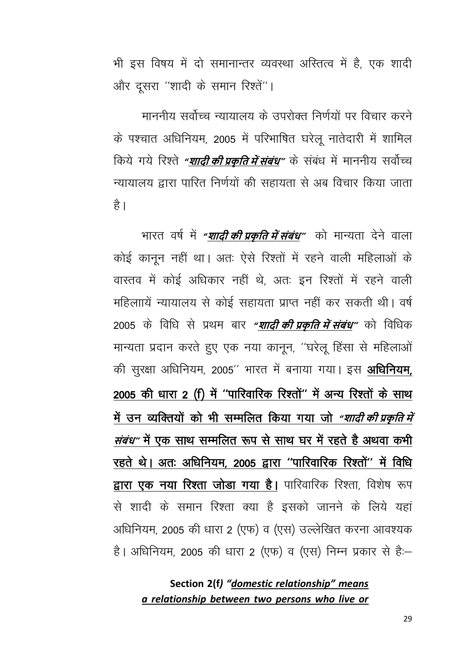भी इस विषय में दो समानान्तर व्यवस्था अस्तित्व में है, एक शादी और दूसरा "शादी के समान रिश्तें"।

माननीय सर्वोच्च न्यायालय के उपरोक्त निर्णयों पर विचार करने के पश्चात अधिनियम, 2005 में परिभाषित घरेलू नातेदारी में शामिल किये गये रिश्ते *"शादी की प्रकति में संबंध"* के संबंध में माननीय सर्वोच्च न्यायालय द्वारा पारित निर्णयों की सहायता से अब विचार किया जाता है।

भारत वर्ष में *"शादी की प्रकृति में संबंध"* को मान्यता देने वाला कोई कानून नहीं था। अतः ऐसे रिश्तों में रहने वाली महिलाओं के वास्तव में कोई अधिकार नहीं थे. अतः इन रिश्तों में रहने वाली महिलाायें न्यायालय से कोई सहायता प्राप्त नहीं कर सकती थी। वर्ष 2005 के विधि से प्रथम बार "<mark>शादी की प्रकृति में संबंध</mark>" को विधिक मान्यता प्रदान करते हुए एक नया कानून, "घरेलू हिंसा से महिलाओं की सुरक्षा अधिनियम, 2005'' भारत में बनाया गया। इस अधिनियम, 2005 की धारा 2 (f) में "पारिवारिक रिश्तों" में अन्य रिश्तों के साथ में उन व्यक्तियों को भी सम्मलित किया गया जो *"शादी की प्रकति में संबंध"* में एक साथ सम्मलित रूप से साथ घर में रहते है अथवा कभी रहते थे। अतः अधिनियम, 2005 द्वारा "पारिवारिक रिश्तों" में विधि द्वारा एक नया रिश्ता जोडा गया है। पारिवारिक रिश्ता, विशेष रूप से शादी के समान रिश्ता क्या है इसको जानने के लिये यहां अधिनियम, 2005 की धारा 2 (एफ) व (एस) उल्लेखित करना आवश्यक है। अधिनियम, 2005 की धारा 2 (एफ) व (एस) निम्न प्रकार से हैं:–

## Section 2(f) "domestic relationship" means a relationship between two persons who live or

29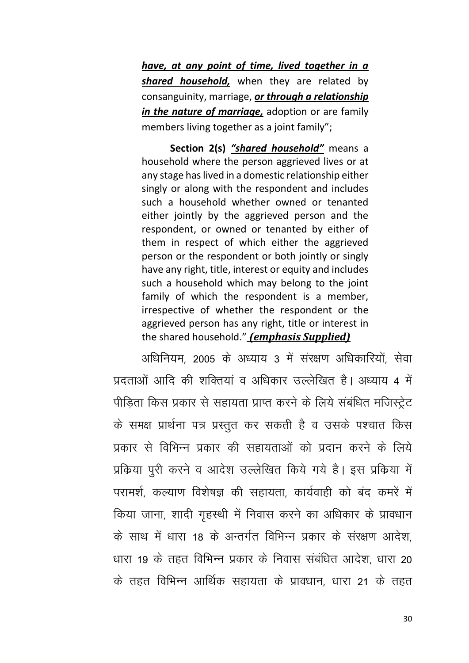have, at any point of time, lived together in a shared household, when they are related by consanguinity, marriage, or through a relationship in the nature of marriage, adoption or are family members living together as a joint family";

Section 2(s) "shared household" means a household where the person aggrieved lives or at any stage has lived in a domestic relationship either singly or along with the respondent and includes such a household whether owned or tenanted either jointly by the aggrieved person and the respondent, or owned or tenanted by either of them in respect of which either the aggrieved person or the respondent or both jointly or singly have any right, title, interest or equity and includes such a household which may belong to the joint family of which the respondent is a member, irrespective of whether the respondent or the aggrieved person has any right, title or interest in the shared household." (emphasis Supplied)

अधिनियम 2005 के अध्याय 3 में संरक्षण अधिकारियों सेवा प्रदताओं आदि की शक्तियां व अधिकार उल्लेखित है। अध्याय 4 में पीडिता किस प्रकार से सहायता प्राप्त करने के लिये संबंधित मजिस्ट्रेट के समक्ष प्रार्थना पत्र प्रस्तुत कर सकती है व उसके पश्चात किस प्रकार से विभिन्न प्रकार की सहायताओं को प्रदान करने के लिये प्रक्रिया पूरी करने व आदेश उल्लेखित किये गये है। इस प्रक्रिया में परामर्श, कल्याण विशेषज्ञ की सहायता, कार्यवाही को बंद कमरें में किया जाना, शादी गृहस्थी में निवास करने का अधिकार के प्रावधान के साथ में धारा 18 के अन्तर्गत विभिन्न प्रकार के संरक्षण आदेश धारा 19 के तहत विभिन्न प्रकार के निवास संबंधित आदेश धारा 20 के तहत विभिन्न आर्थिक सहायता के प्रावधान, धारा 21 के तहत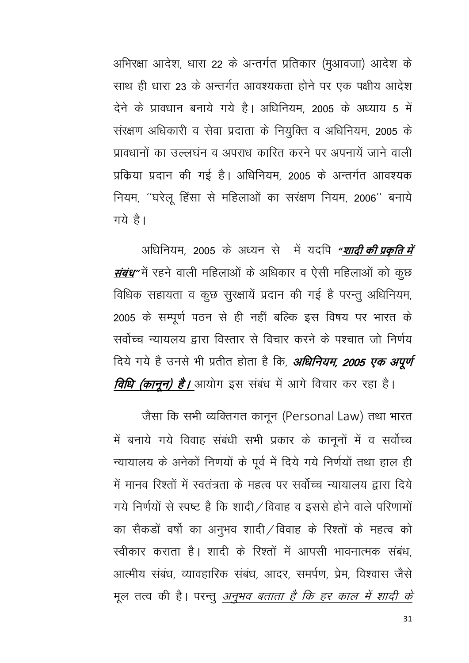अभिरक्षा आदेश, धारा 22 के अन्तर्गत प्रतिकार (मुआवजा) आदेश के साथ ही धारा 23 के अन्तर्गत आवश्यकता होने पर एक पक्षीय आदेश देने के प्रावधान बनाये गये है। अधिनियम 2005 के अध्याय 5 में संरक्षण अधिकारी व सेवा प्रदाता के नियुक्ति व अधिनियम, 2005 के प्रावधानों का उल्लघन व अपराध कारित करने पर अपनायें जाने वाली प्रक्रिया प्रदान की गई है। अधिनियम, 2005 के अन्तर्गत आवश्यक नियम, "घरेलू हिंसा से महिलाओं का सरक्षण नियम, 2006" बनाये गये है।

अधिनियम, 2005 के अध्यन से में यदपि "<mark>शादी की प्रकृति में</mark> *संबंध* में रहने वाली महिलाओं के अधिकार व ऐसी महिलाओं को कुछ विधिक सहायता व कुछ सुरक्षायें प्रदान की गई है परन्तु अधिनियम, 2005 के सम्पूर्ण पठन से ही नहीं बल्कि इस विषय पर भारत के सर्वोच्च न्यायलय द्वारा विस्तार से विचार करने के पश्चात जो निर्णय दिये गये है उनसे भी प्रतीत होता है कि, **अधिनियम, 2005 एक अपूर्ण** *विधि (कानून) है।* आयोग इस संबंध में आगे विचार कर रहा है।

जैसा कि सभी व्यक्तिगत कानून (Personal Law) तथा भारत में बनाये गये विवाह संबंधी सभी प्रकार के कानूनों में व सर्वोच्च न्यायालय के अनेकों निणयों के पूर्व में दिये गये निर्णयों तथा हाल ही में मानव रिश्तों में स्वतंत्रता के महत्व पर सर्वोच्च न्यायालय द्वारा दिये गये निर्णयों से स्पष्ट है कि शादी / विवाह व इससे होने वाले परिणामों का सैकड़ों वर्षो का अनुभव शादी/विवाह के रिश्तों के महत्व को स्वीकार कराता है। शादी के रिश्तों में आपसी भावनात्मक संबंध आत्मीय संबंध व्यावहारिक संबंध आदर समर्पण प्रेम विश्वास जैसे मूल तत्व की है। परन्तु *अनुभव बताता है कि हर काल में शादी के*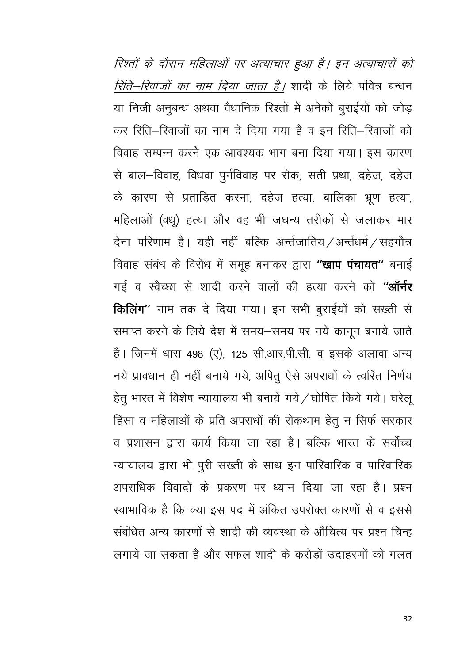रिश्तों के दौरान महिलाओं पर अत्याचार हुआ है। इन अत्याचारों को रिति-रिवाजों का नाम दिया जाता है। शादी के लिये पवित्र बन्धन या निजी अनुबन्ध अथवा वैधानिक रिश्तों में अनेकों बुराईयों को जोड़ कर रिति–रिवाजों का नाम दे दिया गया है व इन रिति–रिवाजों को विवाह सम्पन्न करने एक आवश्यक भाग बना दिया गया। इस कारण से बाल-विवाह, विधवा पुर्नविवाह पर रोक, सती प्रथा, दहेज, दहेज के कारण से प्रताड़ित करना, दहेज हत्या, बालिका भ्रूण हत्या, महिलाओं (वधू) हत्या और वह भी जघन्य तरीकों से जलाकर मार देना परिणाम है। यही नहीं बल्कि अर्न्तजातिय $\angle$ अर्न्तधर्म $\angle$ सहगौत्र विवाह संबंध के विरोध में समूह बनाकर द्वारा "**खाप पंचायत**" बनाई गई व स्वैच्छा से शादी करने वालों की हत्या करने को "ऑर्नर किलिंग" नाम तक दे दिया गया। इन सभी बुराईयों को सख्ती से समाप्त करने के लिये देश में समय-समय पर नये कानून बनाये जाते है। जिनमें धारा 498 (ए), 125 सी.आर.पी.सी. व इसके अलावा अन्य नये प्रावधान ही नहीं बनाये गये, अपितु ऐसे अपराधों के त्वरित निर्णय हेतु भारत में विशेष न्यायालय भी बनाये गये / घोषित किये गये। घरेलू हिंसा व महिलाओं के प्रति अपराधों की रोकथाम हेतु न सिर्फ सरकार व प्रशासन द्वारा कार्य किया जा रहा है। बल्कि भारत के सर्वोच्च न्यायालय द्वारा भी पूरी सख्ती के साथ इन पारिवारिक व पारिवारिक अपराधिक विवादों के प्रकरण पर ध्यान दिया जा रहा है। प्रश्न स्वाभाविक है कि क्या इस पद में अंकित उपरोक्त कारणों से व इससे संबंधित अन्य कारणों से शादी की व्यवस्था के औचित्य पर प्रश्न चिन्ह लगाये जा सकता है और सफल शादी के करोड़ों उदाहरणों को गलत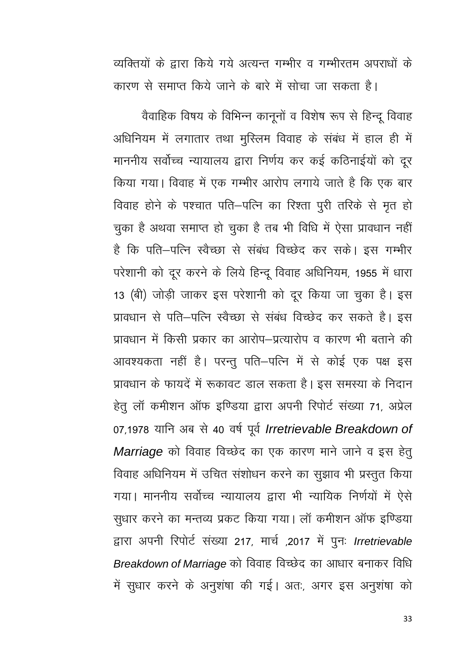व्यक्तियों के द्वारा किये गये अत्यन्त गम्भीर व गम्भीरतम अपराधों के

कारण से समाप्त किये जाने के बारे में सोचा जा सकता है।

वैवाहिक विषय के विभिन्न कानूनों व विशेष रूप से हिन्दू विवाह अधिनियम में लगातार तथा मुस्लिम विवाह के संबंध में हाल ही में माननीय सर्वोच्च न्यायालय द्वारा निर्णय कर कई कठिनाईयों को दूर किया गया। विवाह में एक गम्भीर आरोप लगाये जाते है कि एक बार विवाह होने के पश्चात पति–पत्नि का रिश्ता पूरी तरिके से मृत हो चुका है अथवा समाप्त हो चुका है तब भी विधि में ऐसा प्रावधान नहीं है कि पति–पत्नि स्वैच्छा से संबंध विच्छेद कर सके। इस गम्भीर परेशानी को दूर करने के लिये हिन्दू विवाह अधिनियम, 1955 में धारा 13 (बी) जोड़ी जाकर इस परेशानी को दूर किया जा चुका है। इस प्रावधान से पति–पत्नि स्वैच्छा से संबंध विच्छेद कर सकते है। इस प्रावधान में किसी प्रकार का आरोप-प्रत्यारोप व कारण भी बताने की आवश्यकता नहीं है। परन्तू पति–पत्नि में से कोई एक पक्ष इस प्रावधान के फायदें में रूकावट डाल सकता है। इस समस्या के निदान हेतु लॉ कमीशन ऑफ इण्डिया द्वारा अपनी रिपोर्ट संख्या 71, अप्रेल 07,1978 यानि अब से 40 वर्ष पूर्व Irretrievable Breakdown of Marriage को विवाह विच्छेद का एक कारण माने जाने व इस हेतु विवाह अधिनियम में उचित संशोधन करने का सूझाव भी प्रस्तुत किया गया। माननीय सर्वोच्च न्यायालय द्वारा भी न्यायिक निर्णयों में ऐसे सुधार करने का मन्तव्य प्रकट किया गया। लॉ कमीशन ऑफ इण्डिया द्वारा अपनी रिपोर्ट संख्या 217, मार्च ,2017 में पुनः Irretrievable Breakdown of Marriage को विवाह विच्छेद का आधार बनाकर विधि में सूधार करने के अनुशंषा की गई। अतः, अगर इस अनुशंषा को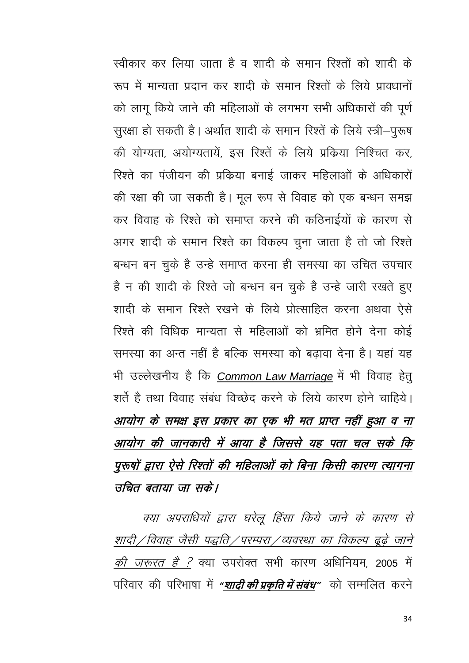स्वीकार कर लिया जाता है व शादी के समान रिश्तों को शादी के रूप में मान्यता प्रदान कर शादी के समान रिश्तों के लिये प्रावधानों को लागू किये जाने की महिलाओं के लगभग सभी अधिकारों की पूर्ण सुरक्षा हो सकती है। अर्थात शादी के समान रिश्तें के लिये स्त्री-पुरूष की योग्यता, अयोग्यतायें, इस रिश्तें के लिये प्रक्रिया निश्चित कर, रिश्ते का पंजीयन की प्रक्रिया बनाई जाकर महिलाओं के अधिकारों की रक्षा की जा सकती है। मूल रूप से विवाह को एक बन्धन समझ कर विवाह के रिश्ते को समाप्त करने की कठिनाईयों के कारण से अगर शादी के समान रिश्ते का विकल्प चुना जाता है तो जो रिश्ते बन्धन बन चुके है उन्हे समाप्त करना ही समस्या का उचित उपचार है न की शादी के रिश्ते जो बन्धन बन चुके है उन्हे जारी रखते हुए शादी के समान रिश्ते रखने के लिये प्रोत्साहित करना अथवा ऐसे रिश्ते की विधिक मान्यता से महिलाओं को भ्रमित होने देना कोई समस्या का अन्त नहीं है बल्कि समस्या को बढावा देना है। यहां यह भी उल्लेखनीय है कि Common Law Marriage में भी विवाह हेतु शर्ते है तथा विवाह संबंध विच्छेद करने के लिये कारण होने चाहिये। आयोग के समक्ष इस प्रकार का एक भी मत प्राप्त नहीं हुआ व ना आयोग की जानकारी में आया है जिससे यह पता चल सके कि पुरुषों द्वारा ऐसे रिश्तों की महिलाओं को बिना किसी कारण त्यागना उचित बताया जा सके।

क्या अपराधियों द्वारा घरेलू हिंसा किये जाने के कारण से शादी / विवाह जैसी पद्धति / परम्परा / व्यवस्था का विकल्प ढूढ़े जाने *की जरूरत है ?* क्या उपरोक्त सभी कारण अधिनियम, 2005 में परिवार की परिभाषा में *"शादी की प्रकति में संबंध"* को सम्मलित करने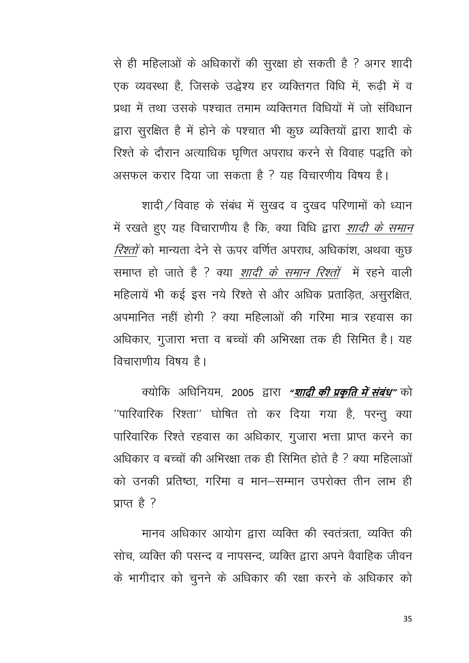से ही महिलाओं के अधिकारों की सुरक्षा हो सकती है ? अगर शादी एक व्यवस्था है, जिसके उद्धेश्य हर व्यक्तिगत विधि में, रूढ़ी में व प्रथा में तथा उसके पश्चात तमाम व्यक्तिगत विधियों में जो सविधान द्वारा सुरक्षित है में होने के पश्चात भी कुछ व्यक्तियों द्वारा शादी के रिश्ते के दौरान अत्याधिक घृणित अपराध करने से विवाह पद्धति को असफल करार दिया जा सकता है ? यह विचारणीय विषय है।

शादी / विवाह के संबंध में सुखद व दुखद परिणामों को ध्यान में रखते हुए यह विचाराणीय है कि, क्या विधि द्वारा *शादी के समान* रिश्तों को मान्यता देने से ऊपर वर्णित अपराध, अधिकांश, अथवा कुछ समाप्त हो जाते है ? क्या *शादी के समान रिश्तों* में रहने वाली महिलायें भी कई इस नये रिश्ते से और अधिक प्रताड़ित, असुरक्षित, अपमानित नहीं होगी ? क्या महिलाओं की गरिमा मात्र रहवास का अधिकार, गुजारा भत्ता व बच्चों की अभिरक्षा तक ही सिमित है। यह विचाराणीय विषय है।

क्योकि अधिनियम, 2005 द्वारा "<u>शादी की प्रकृति में संबंध</u>" को "पारिवारिक रिश्ता" घोषित तो कर दिया गया है, परन्तु क्या पारिवारिक रिश्ते रहवास का अधिकार, गुजारा भत्ता प्राप्त करने का अधिकार व बच्चों की अभिरक्षा तक ही सिमित होते है ? क्या महिलाओं को उनकी प्रतिष्ठा, गरिमा व मान–सम्मान उपरोक्त तीन लाभ ही प्राप्त है $?$ 

मानव अधिकार आयोग द्वारा व्यक्ति की स्वतंत्रता. व्यक्ति की सोच व्यक्ति की पसन्द व नापसन्द व्यक्ति द्वारा अपने वैवाहिक जीवन के भागीदार को चुनने के अधिकार की रक्षा करने के अधिकार को

35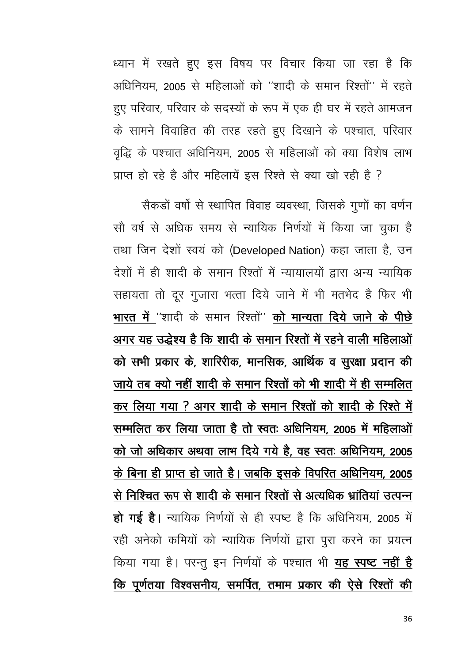ध्यान में रखते हुए इस विषय पर विचार किया जा रहा है कि अधिनियम, 2005 से महिलाओं को "शादी के समान रिश्तों" में रहते हुए परिवार, परिवार के सदस्यों के रूप में एक ही घर में रहते आमजन के सामने विवाहित की तरह रहते हुए दिखाने के पश्चात, परिवार वृद्धि के पश्चात अधिनियम, 2005 से महिलाओं को क्या विशेष लाभ प्राप्त हो रहे है और महिलायें इस रिश्ते से क्या खो रही है ?

सैकड़ों वर्षो से स्थापित विवाह व्यवस्था, जिसके गुणों का वर्णन सौ वर्ष से अधिक समय से न्यायिक निर्णयों में किया जा चुका है तथा जिन देशों स्वयं को (Developed Nation) कहा जाता है, उन देशों में ही शादी के समान रिश्तों में न्यायालयों द्वारा अन्य न्यायिक सहायता तो दूर गुजारा भत्ता दिये जाने में भी मतभेद है फिर भी भारत में "शादी के समान रिश्तों" को मान्यता दिये जाने के पीछे अगर यह उद्धेश्य है कि शादी के समान रिश्तों में रहने वाली महिलाओं को सभी प्रकार के, शारिरीक, मानसिक, आर्थिक व सुरक्षा प्रदान की जाये तब क्यो नहीं शादी के समान रिश्तों को भी शादी में ही सम्मलित कर लिया गया ? अगर शादी के समान रिश्तों को शादी के रिश्ते में सम्मलित कर लिया जाता है तो स्वतः अधिनियम, 2005 में महिलाओं को जो अधिकार अथवा लाभ दिये गये है, वह स्वतः अधिनियम, 2005 के बिना ही प्राप्त हो जाते है। जबकि इसके विपरित अधिनियम, 2005 से निश्चित रूप से शादी के समान रिश्तों से अत्यधिक भ्रांतियां उत्पन्न हो गई है। न्यायिक निर्णयों से ही स्पष्ट है कि अधिनियम, 2005 में रही अनेको कमियों को न्यायिक निर्णयों द्वारा पुरा करने का प्रयत्न किया गया है। परन्तु इन निर्णयों के पश्चात भी यह स्पष्ट नहीं है कि पूर्णतया विश्वसनीय, समर्पित, तमाम प्रकार की ऐसे रिश्तों की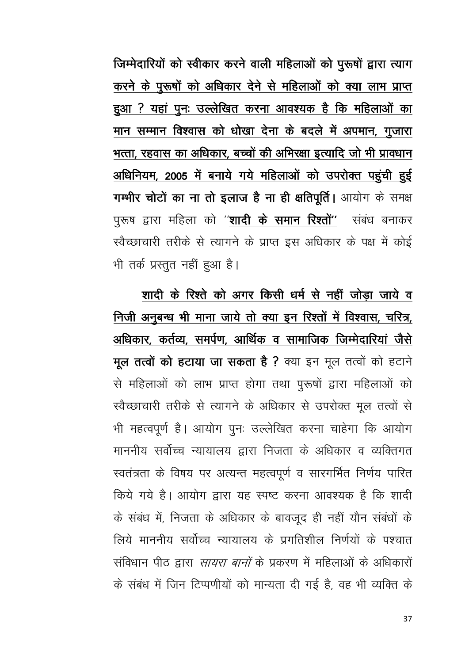जिम्मेदारियों को स्वीकार करने वाली महिलाओं को पुरूषों द्वारा त्याग करने के पुरूषों को अधिकार देने से महिलाओं को क्या लाभ प्राप्त हुआ ? यहां पुनः उल्लेखित करना आवश्यक है कि महिलाओं का मान सम्मान विश्वास को धोखा देना के बदले में अपमान, गुजारा भत्ता, रहवास का अधिकार, बच्चों की अभिरक्षा इत्यादि जो भी प्रावधान अधिनियम, 2005 में बनाये गये महिलाओं को उपरोक्त पहुंची हुई गम्भीर चोटों का ना तो इलाज है ना ही क्षतिपूर्ति । आयोग के समक्ष पुरूष द्वारा महिला को ''<mark>शादी के समान रिश्तों''</mark> संबंध बनाकर स्वैच्छाचारी तरीके से त्यागने के प्राप्त इस अधिकार के पक्ष में कोई भी तर्क प्रस्तूत नहीं हुआ है।

शादी के रिश्ते को अगर किसी धर्म से नहीं जोड़ा जाये व निजी अनुबन्ध भी माना जाये तो क्या इन रिश्तों में विश्वास, चरित्र, अधिकार, कर्तव्य, समर्पण, आर्थिक व सामाजिक जिम्मेदारियां जैसे मूल तत्वों को हटाया जा सकता है ? क्या इन मूल तत्वों को हटाने से महिलाओं को लाभ प्राप्त होगा तथा पुरूषों द्वारा महिलाओं को स्वैच्छाचारी तरीके से त्यागने के अधिकार से उपरोक्त मूल तत्वों से भी महत्वपूर्ण है। आयोग पुनः उल्लेखित करना चाहेगा कि आयोग माननीय सर्वोच्च न्यायालय द्वारा निजता के अधिकार व व्यक्तिगत स्वतंत्रता के विषय पर अत्यन्त महत्वपूर्ण व सारगर्भित निर्णय पारित किये गये है। आयोग द्वारा यह स्पष्ट करना आवश्यक है कि शादी के संबंध में, निजता के अधिकार के बावजूद ही नहीं यौन संबंधों के लिये माननीय सर्वोच्च न्यायालय के प्रगतिशील निर्णयों के पश्चात संविधान पीठ द्वारा *सायरा बानों* के प्रकरण में महिलाओं के अधिकारों के संबंध में जिन टिप्पणीयों को मान्यता दी गई है, वह भी व्यक्ति के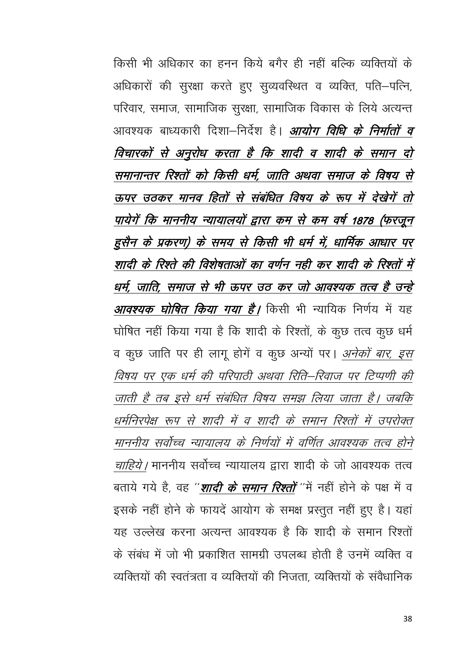किसी भी अधिकार का हनन किये बगैर ही नहीं बल्कि व्यक्तियों के अधिकारों की सुरक्षा करते हुए सुव्यवस्थित व व्यक्ति, पति-पत्नि, परिवार, समाज, सामाजिक सुरक्षा, सामाजिक विकास के लिये अत्यन्त आवश्यक बाध्यकारी दिशा—निर्देश है। *आयोग विधि के निर्मातों व* विचारकों से अनुरोध करता है कि शादी व शादी के समान दो समानान्तर रिश्तों को किसी धर्म, जाति अथवा समाज के विषय से ऊपर उठकर मानव हितों से संबंधित विषय के रूप में देखेगें तो पायेगें कि माननीय न्यायालयों द्वारा कम से कम वर्ष 1878 (फरजून हुसैन के प्रकरण) के समय से किसी भी धर्म में, धार्मिक आधार पर शादी के रिश्ते की विशेषताओं का वर्णन नही कर शादी के रिश्तों में धर्म, जाति, समाज से भी ऊपर उठ कर जो आवश्यक तत्व है उन्हे *आवश्यक घोषित किया गया है।* किसी भी न्यायिक निर्णय में यह घोषित नहीं किया गया है कि शादी के रिश्तों, के कुछ तत्व कुछ धर्म व कुछ जाति पर ही लागू होगें व कूछ अन्यों पर। *अनेकों बार, इस* विषय पर एक धर्म की परिपाठी अथवा रिति–रिवाज पर टिप्पणी की जाती है तब इसे धर्म संबंधित विषय समझ लिया जाता है। जबकि धर्मनिरपेक्ष रूप से शादी में व शादी के समान रिश्तों में उपरोक्त माननीय सर्वोच्च न्यायालय के निर्णयों में वर्णित आवश्यक तत्व होने *चाहिये।* माननीय सर्वोच्च न्यायालय द्वारा शादी के जो आवश्यक तत्व बताये गये है वह ''*शादी के समान रिश्तों* ''में नहीं होने के पक्ष में व इसके नहीं होने के फायदें आयोग के समक्ष प्रस्तुत नहीं हुए है। यहां यह उल्लेख करना अत्यन्त आवश्यक है कि शादी के समान रिश्तों के संबंध में जो भी प्रकाशित सामग्री उपलब्ध होती है उनमें व्यक्ति व व्यक्तियों की स्वतंत्रता व व्यक्तियों की निजता व्यक्तियों के संवैधानिक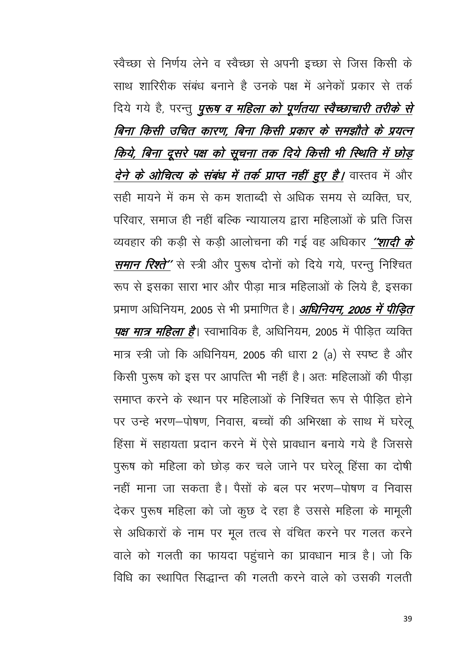स्वैच्छा से निर्णय लेने व स्वैच्छा से अपनी इच्छा से जिस किसी के साथ शारिरीक संबंध बनाने है उनके पक्ष में अनेकों प्रकार से तर्क दिये गये है, परन्तु *पुरुष व महिला को पूर्णतया स्वैच्छाचारी तरीके से* बिना किसी उचित कारण, बिना किसी प्रकार के समझौते के प्रयत्न किये, बिना दूसरे पक्ष को सूचना तक दिये किसी भी स्थिति में छोड़ *देने के ओचित्य के संबंध में तर्क प्राप्त नहीं हुए है।* वास्तव में और सही मायने में कम से कम शताब्दी से अधिक समय से व्यक्ति घर परिवार, समाज ही नहीं बल्कि न्यायालय द्वारा महिलाओं के प्रति जिस व्यवहार की कड़ी से कड़ी आलोचना की गई वह अधिकार "शादी के *समान रिश्ते* '' से स्त्री और पुरूष दोनों को दिये गये, परन्तु निश्चित रूप से इसका सारा भार और पीड़ा मात्र महिलाओं के लिये है, इसका प्रमाण अधिनियम, 2005 से भी प्रमाणित है। *अधिनियम, 2005 में पीड़ित पक्ष मात्र महिला है*। स्वाभाविक है, अधिनियम, 2005 में पीडित व्यक्ति मात्र स्त्री जो कि अधिनियम, 2005 की धारा 2 (a) से स्पष्ट है और किसी पुरूष को इस पर आपत्ति भी नहीं है। अतः महिलाओं की पीड़ा समाप्त करने के स्थान पर महिलाओं के निश्चित रूप से पीडित होने पर उन्हे भरण-पोषण, निवास, बच्चों की अभिरक्षा के साथ में घरेलू हिंसा में सहायता प्रदान करने में ऐसे प्रावधान बनाये गये है जिससे पुरूष को महिला को छोड़ कर चले जाने पर घरेलू हिंसा का दोषी नहीं माना जा सकता है। पैसों के बल पर भरण—पोषण व निवास देकर पुरूष महिला को जो कुछ दे रहा है उससे महिला के मामूली से अधिकारों के नाम पर मूल तत्व से वंचित करने पर गलत करने वाले को गलती का फायदा पहुंचाने का प्रावधान मात्र है। जो कि विधि का स्थापित सिद्धान्त की गलती करने वाले को उसकी गलती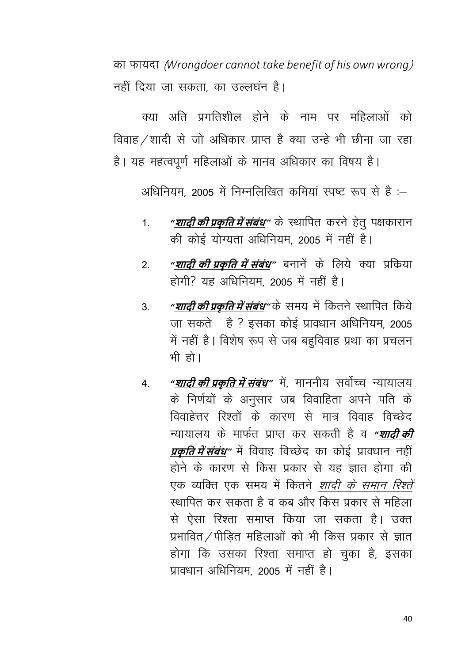dk Qk;nk ¼*Wrongdoer cannot take benefit of his own wrong*½ नहीं दिया जा सकता, का उल्लघंन है।

क्या अति प्रगतिशील होने के नाम पर महिलाओं को विवाह /शादी से जो अधिकार प्राप्त है क्या उन्हे भी छीना जा रहा है। यह महत्वपूर्ण महिलाओं के मानव अधिकार का विषय है।

अधिनियम, 2005 में निम्नलिखित कमियां स्पष्ट रूप से हैं :-

- 1- *"***शादी की प्रकृ ति मेंसंबंध"** ds LFkkfir djus gsrq i{kdkjku की कोई योग्यता अधिनियम, 2005 में नहीं है।
- 2- *"***शादी की प्रकृ ति मेंसंबंध"** cukusa ds fy;s D;k izfdz;k होगी? यह अधिनियम 2005 में नहीं है।
- 3. <mark>"*शादी की प्रकृति में संबंध*"</mark> के समय में कितने स्थापित किये जा सकते है ? इसका कोई प्रावधान अधिनियम, 2005 में नहीं है। विशेष रूप से जब बहुविवाह प्रथा का प्रचलन भी हो।
- 4. **"शादी की प्रकृति में संबंध**" में, माननीय सर्वोच्च न्यायालय के निर्णयों के अनुसार जब विवाहिता अपने पति के विवाहेत्तर रिश्तों के कारण से मात्र विवाह विच्छेद U;k;ky; ds ekQZr izkIr dj ldrh gS o *"***शादी की** *प्रकृति में संबंध"* **में विवाह विच्छेद का कोई प्रावधान नहीं** होने के कारण से किस प्रकार से यह ज्ञात होगा की एक व्यक्ति एक समय में कितने *शादी के समान रिश्तें* स्थापित कर सकता है व कब और किस प्रकार से महिला से ऐसा रिश्ता समाप्त किया जा सकता है। उक्त प्रभावित $/$ पीड़ित महिलाओं को भी किस प्रकार से ज्ञात होगा कि उसका रिश्ता समाप्त हो चुका है, इसका प्रावधान अधिनियम, 2005 में नहीं है।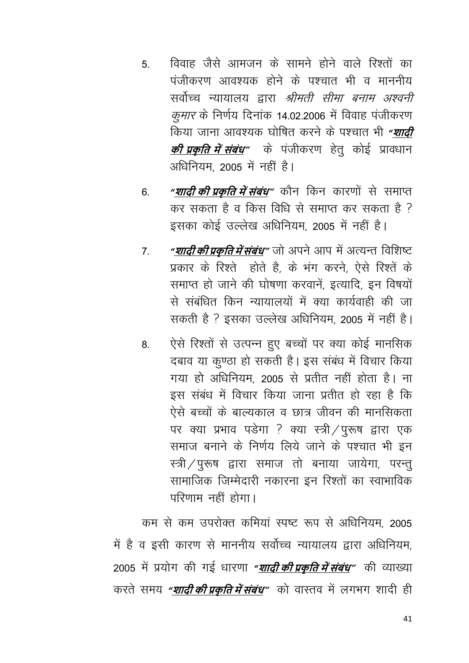- 5 विवाह जैसे आमजन के सामने होने वाले रिश्तों का पंजीकरण आवश्यक होने के पश्चात भी व माननीय सर्वोच्च न्यायालय द्वारा *श्रीमती सीमा बनाम अश्वनी कुमार* के निर्णय दिनांक 14.02.2006 में विवाह पंजीकरण किया जाना आवश्यक घोषित करने के पश्चात भी *"शादी* **की प्रकृ ति मेंसंबंध"** ds iathdj.k gsrq dksbZ izko/kku अधिनियम, 2005 में नहीं है।
- 6. **"***शादी की प्रकृति में संबंध"* **कोन किन कारणों से समाप्त** कर सकता है व किस विधि से समाप्त कर सकता है ? इसका कोई उल्लेख अधिनियम, 2005 में नहीं है।
- 7. <mark>"शादी की प्रकृति में संबंध</mark>" जो अपने आप में अत्यन्त विशिष्ट प्रकार के रिश्ते होते है, के भंग करने, ऐसे रिश्तें के समाप्त हो जाने की घोषणा करवानें, इत्यादि, इन विषयों से संबंधित किन न्यायालयों में क्या कार्यवाही की जा सकती है ? इसका उल्लेख अधिनियम, 2005 में नहीं है।
- 8. ऐसे रिश्तों से उत्पन्न हुए बच्चों पर क्या कोई मानसिक दबाव या कूण्ठा हो सकती है। इस संबंध में विचार किया गया हो अधिनियम, 2005 से प्रतीत नहीं होता है। ना इस संबंध में विचार किया जाना प्रतीत हो रहा है कि ऐसे बच्चों के बाल्यकाल व छात्र जीवन की मानसिकता पर क्या प्रभाव पडेगा ? क्या स्त्री / पुरूष द्वारा एक समाज बनाने के निर्णय लिये जाने के पश्चात भी इन स्त्री $\sqrt{q}$ रूष द्वारा समाज तो बनाया जायेगा, परन्तु सामाजिक जिम्मेदारी नकारना इन रिश्तों का स्वाभाविक परिणाम नहीं होगा।

कम से कम उपरोक्त कमियां स्पष्ट रूप से अधिनियम, 2005 में है व इसी कारण से माननीय सर्वोच्च न्यायालय द्वारा अधिनियम, 2005 में प्रयोग की गई धारणा "*शादी की प्रकृति में संबंध"* **की व्याख्या** करते समय *"शादी की प्रकति में संबंध"* को वास्तव में लगभग शादी ही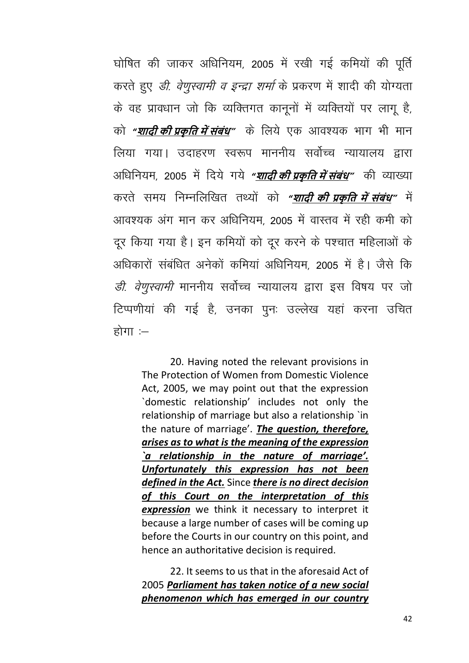घोषित की जाकर अधिनियम, 2005 में रखी गई कमियों की पूर्ति करते हुए *डी. वेणुस्वामी व इन्द्रा शर्मा* के प्रकरण में शादी की योग्यता के वह प्रावधान जो कि व्यक्तिगत कानूनों में व्यक्तियों पर लागू है, को *"<mark>शादी की प्रकृति में संबंध</mark>"* के लिये एक आवश्यक भाग भी मान लिया गया। उदाहरण स्वरूप माननीय सर्वोच्च न्यायालय द्वारा अधिनियम, 2005 में दिये गये *"<u>शादी की प्रकृति में संबंध</u>"* की व्याख्या करते समय निम्नलिखित तथ्यों को *"शादी की प्रकति में संबंध"* में आवश्यक अंग मान कर अधिनियम, 2005 में वास्तव में रही कमी को दूर किया गया है। इन कमियों को दूर करने के पश्चात महिलाओं के अधिकारों संबंधित अनेकों कमियां अधिनियम, 2005 में है। जैसे कि *डी. वेणुस्वामी* माननीय सर्वोच्च न्यायालय द्वारा इस विषय पर जो टिप्पणीयां की गई है, उनका पुनः उल्लेख यहां करना उचित होगा $=$ 

20. Having noted the relevant provisions in The Protection of Women from Domestic Violence Act, 2005, we may point out that the expression 'domestic relationship' includes not only the relationship of marriage but also a relationship `in the nature of marriage'. The question, therefore, arises as to what is the meaning of the expression `a relationship in the nature of marriage'. Unfortunately this expression has not been defined in the Act. Since there is no direct decision of this Court on the interpretation of this expression we think it necessary to interpret it because a large number of cases will be coming up before the Courts in our country on this point, and hence an authoritative decision is required.

22. It seems to us that in the aforesaid Act of 2005 Parliament has taken notice of a new social phenomenon which has emerged in our country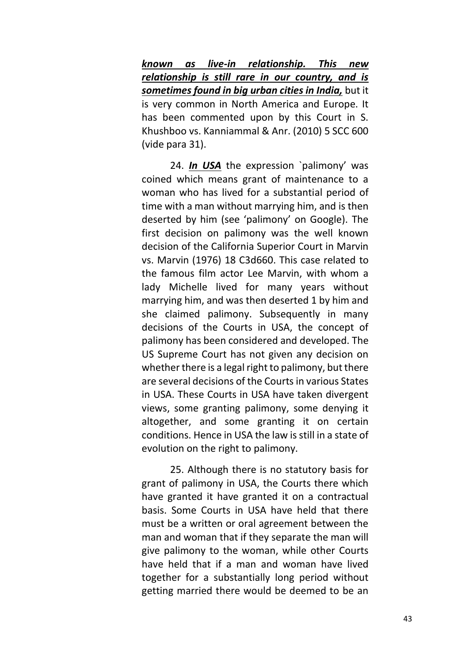*known as live-in relationship. This new relationship is still rare in our country, and is sometimes found in big urban cities in India,* but it is very common in North America and Europe. It has been commented upon by this Court in S. Khushboo vs. Kanniammal & Anr. (2010) 5 SCC 600 (vide para 31).

24. *In USA* the expression `palimony' was coined which means grant of maintenance to a woman who has lived for a substantial period of time with a man without marrying him, and is then deserted by him (see 'palimony' on Google). The first decision on palimony was the well known decision of the California Superior Court in Marvin vs. Marvin (1976) 18 C3d660. This case related to the famous film actor Lee Marvin, with whom a lady Michelle lived for many years without marrying him, and was then deserted 1 by him and she claimed palimony. Subsequently in many decisions of the Courts in USA, the concept of palimony has been considered and developed. The US Supreme Court has not given any decision on whether there is a legal right to palimony, but there are several decisions of the Courts in various States in USA. These Courts in USA have taken divergent views, some granting palimony, some denying it altogether, and some granting it on certain conditions. Hence in USA the law is still in a state of evolution on the right to palimony.

25. Although there is no statutory basis for grant of palimony in USA, the Courts there which have granted it have granted it on a contractual basis. Some Courts in USA have held that there must be a written or oral agreement between the man and woman that if they separate the man will give palimony to the woman, while other Courts have held that if a man and woman have lived together for a substantially long period without getting married there would be deemed to be an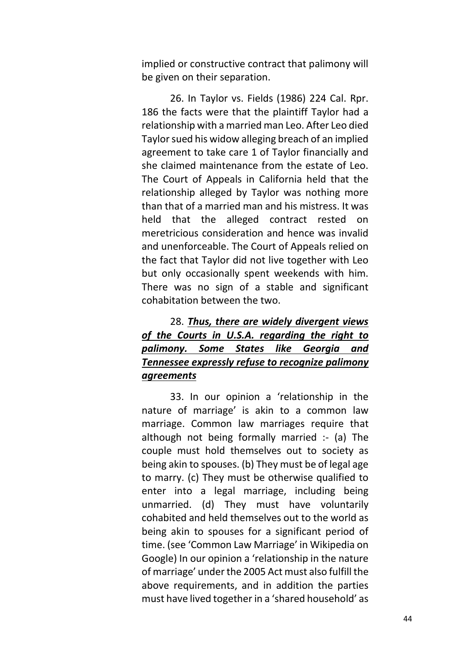implied or constructive contract that palimony will be given on their separation.

26. In Taylor vs. Fields (1986) 224 Cal. Rpr. 186 the facts were that the plaintiff Taylor had a relationship with a married man Leo. After Leo died Taylor sued his widow alleging breach of an implied agreement to take care 1 of Taylor financially and she claimed maintenance from the estate of Leo. The Court of Appeals in California held that the relationship alleged by Taylor was nothing more than that of a married man and his mistress. It was held that the alleged contract rested on meretricious consideration and hence was invalid and unenforceable. The Court of Appeals relied on the fact that Taylor did not live together with Leo but only occasionally spent weekends with him. There was no sign of a stable and significant cohabitation between the two.

## 28. *Thus, there are widely divergent views of the Courts in U.S.A. regarding the right to palimony. Some States like Georgia and Tennessee expressly refuse to recognize palimony agreements*

33. In our opinion a 'relationship in the nature of marriage' is akin to a common law marriage. Common law marriages require that although not being formally married :- (a) The couple must hold themselves out to society as being akin to spouses. (b) They must be of legal age to marry. (c) They must be otherwise qualified to enter into a legal marriage, including being unmarried. (d) They must have voluntarily cohabited and held themselves out to the world as being akin to spouses for a significant period of time. (see 'Common Law Marriage' in Wikipedia on Google) In our opinion a 'relationship in the nature of marriage' under the 2005 Act must also fulfill the above requirements, and in addition the parties must have lived together in a 'shared household' as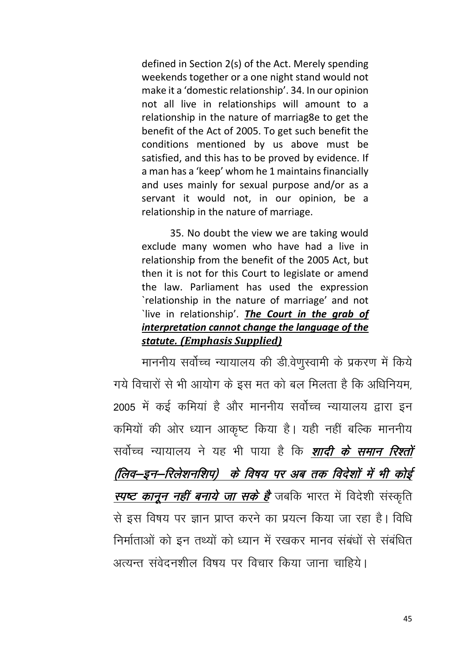defined in Section 2(s) of the Act. Merely spending weekends together or a one night stand would not make it a 'domestic relationship'. 34. In our opinion not all live in relationships will amount to a relationship in the nature of marriag8e to get the benefit of the Act of 2005. To get such benefit the conditions mentioned by us above must be satisfied, and this has to be proved by evidence. If a man has a 'keep' whom he 1 maintains financially and uses mainly for sexual purpose and/or as a servant it would not, in our opinion, be a relationship in the nature of marriage.

35. No doubt the view we are taking would exclude many women who have had a live in relationship from the benefit of the 2005 Act, but then it is not for this Court to legislate or amend the law. Parliament has used the expression `relationship in the nature of marriage' and not live in relationship'. The Court in the grab of interpretation cannot change the language of the statute. (Emphasis Supplied)

माननीय सर्वोच्च न्यायालय की डी.वेणुस्वामी के प्रकरण में किये गये विचारों से भी आयोग के इस मत को बल मिलता है कि अधिनियम. 2005 में कई कमियां है और माननीय सर्वोच्च न्यायालय द्वारा इन कमियों की ओर ध्यान आकृष्ट किया है। यही नहीं बल्कि माननीय सर्वोच्च न्यायालय ने यह भी पाया है कि *शादी के समान रिश्तों* (लिव–इन–रिलेशनशिप) के विषय पर अब तक विदेशों में भी कोई <mark>स्पष्ट *कानून नहीं बनाये जा सके है* जबकि भारत में विदेशी संस्कृति</mark> से इस विषय पर ज्ञान प्राप्त करने का प्रयत्न किया जा रहा है। विधि निर्माताओं को इन तथ्यों को ध्यान में रखकर मानव संबंधों से संबंधित अत्यन्त संवेदनशील विषय पर विचार किया जाना चाहिये।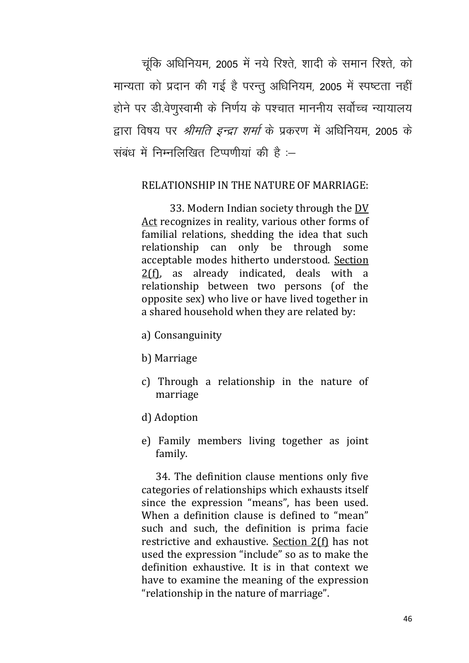चुंकि अधिनियम, 2005 में नये रिश्ते, शादी के समान रिश्ते, को मान्यता को प्रदान की गई है परन्तु अधिनियम, 2005 में स्पष्टता नहीं होने पर डी.वेणुस्वामी के निर्णय के पश्चात माननीय सर्वोच्च न्यायालय द्वारा विषय पर *श्रीमति इन्द्रा शर्मा* के प्रकरण में अधिनियम, 2005 के संबंध में निम्नलिखित टिप्पणीयां की है :

### RELATIONSHIP IN THE NATURE OF MARRIAGE:

33. Modern Indian society through the [DV](https://indiankanoon.org/doc/542601/)  [Act](https://indiankanoon.org/doc/542601/) recognizes in reality, various other forms of familial relations, shedding the idea that such relationship can only be through some acceptable modes hitherto understood. [Section](https://indiankanoon.org/doc/1316495/)  [2\(f\),](https://indiankanoon.org/doc/1316495/) as already indicated, deals with a relationship between two persons (of the opposite sex) who live or have lived together in a shared household when they are related by:

- a) Consanguinity
- b) Marriage
- c) Through a relationship in the nature of marriage
- d) Adoption
- e) Family members living together as joint family.

34. The definition clause mentions only five categories of relationships which exhausts itself since the expression "means", has been used. When a definition clause is defined to "mean" such and such, the definition is prima facie restrictive and exhaustive. [Section 2\(f\)](https://indiankanoon.org/doc/1316495/) has not used the expression "include" so as to make the definition exhaustive. It is in that context we have to examine the meaning of the expression "relationship in the nature of marriage".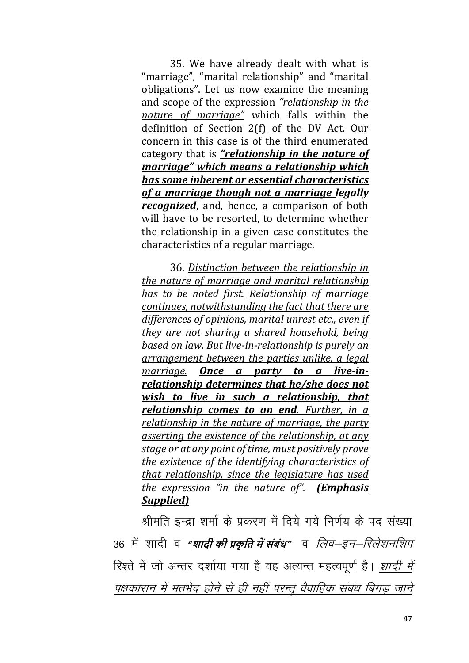35. We have already dealt with what is "marriage", "marital relationship" and "marital obligations". Let us now examine the meaning and scope of the expression "relationship in the nature of marriage" which falls within the definition of Section 2(f) of the DV Act. Our concern in this case is of the third enumerated category that is "relationship in the nature of marriage" which means a relationship which has some inherent or essential characteristics of a marriage though not a marriage legally *recognized*, and, hence, a comparison of both will have to be resorted, to determine whether the relationship in a given case constitutes the characteristics of a regular marriage.

36. Distinction between the relationship in the nature of marriage and marital relationship has to be noted first. Relationship of marriage continues, notwithstanding the fact that there are differences of opinions, marital unrest etc., even if they are not sharing a shared household, being based on law. But live-in-relationship is purely an arrangement between the parties unlike, a legal marriage. Once a party to a live-inrelationship determines that he/she does not wish to live in such a relationship, that relationship comes to an end. Further, in a relationship in the nature of marriage, the party asserting the existence of the relationship, at any stage or at any point of time, must positively prove the existence of the identifying characteristics of that relationship, since the legislature has used the expression "in the nature of". (Emphasis **Supplied** 

श्रीमति इन्दा शर्मा के प्रकरण में दिये गये निर्णय के पद संख्या 36 में शादी व "<u>शा**दी की प्रकृति में संबंध**"</u> व *लिव—इन—रिलेशनशिप* रिश्ते में जो अन्तर दर्शाया गया है वह अत्यन्त महत्वपूर्ण है। *शादी में* पक्षकारान में मतभेद होने से ही नहीं परन्तू वैवाहिक संबंध बिगड़ जाने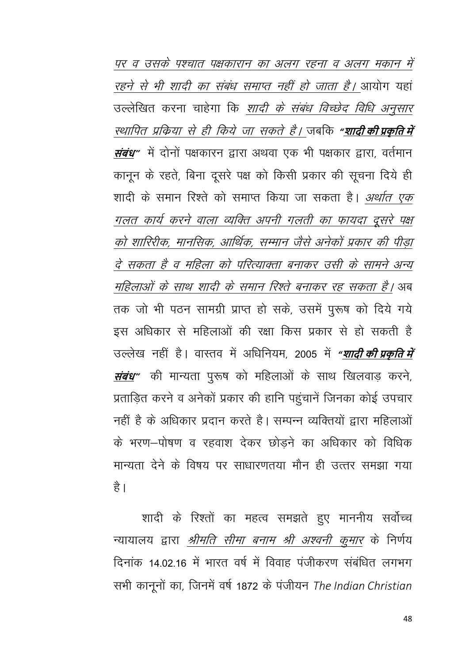पर व उसके पश्चात पक्षकारान का अलग रहना व अलग मकान में *रहने से भी शादी का संबंध समाप्त नहीं हो जाता है।* आयोग यहां उल्लेखित करना चाहेगा कि <u>*शादी के संबंध विच्छेद विधि अनुसार*</u> <u>स्थापित प्रक्रिया से ही किये जा सकते है। जबकि "<mark>शादी की प्रकृति में</mark></u> *संबंध*" में दोनों पक्षकारन द्वारा अथवा एक भी पक्षकार द्वारा, वर्तमान कानून के रहते, बिना दूसरे पक्ष को किसी प्रकार की सूचना दिये ही शादी के समान रिश्ते को समाप्त किया जा सकता है। *अर्थात एक* गलत कार्य करने वाला व्यक्ति अपनी गलती का फायदा दूसरे पक्ष को शारिरीक, मानसिक, आर्थिक, सम्मान जैसे अनेकों प्रकार की पीड़ा दे सकता है व महिला को परित्याक्ता बनाकर उसी के सामने अन्य महिलाओं के साथ शादी के समान रिश्ते बनाकर रह सकता है। अब तक जो भी पठन सामग्री प्राप्त हो सके, उसमें पुरूष को दिये गये इस अधिकार से महिलाओं की रक्षा किस प्रकार से हो सकती है उल्लेख नहीं है। वास्तव में अधिनियम, 2005 में *"शादी की प्रकृति में संबंध*" की मान्यता पुरूष को महिलाओं के साथ खिलवाड़ करने, प्रताड़ित करने व अनेकों प्रकार की हानि पहुंचानें जिनका कोई उपचार नहीं है के अधिकार प्रदान करते है। सम्पन्न व्यक्तियों द्वारा महिलाओं के भरण–पोषण व रहवाश देकर छोडने का अधिकार को विधिक मान्यता देने के विषय पर साधारणतया मौन ही उत्तर समझा गया है।

शादी के रिश्तों का महत्व समझते हुए माननीय सर्वोच्च न्यायालय द्वारा *श्रीमति सीमा बनाम श्री अश्वनी कुमार* के निर्णय दिनांक 14.02.16 में भारत वर्ष में विवाह पंजीकरण संबंधित लगभग सभी कानूनों का, जिनमें वर्ष 1872 के पंजीयन The Indian Christian

48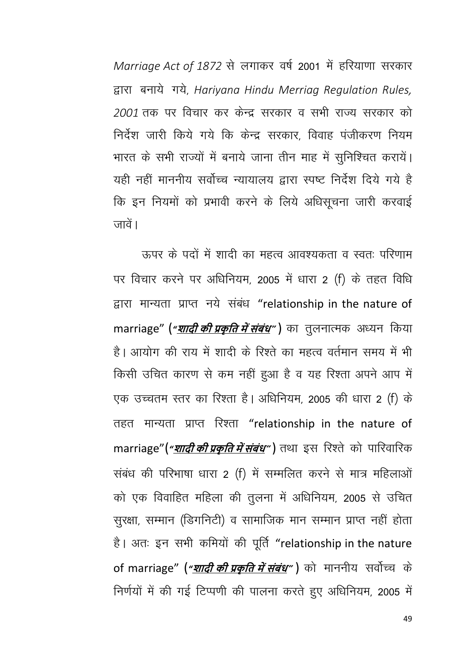Marriage Act of 1872 से लगाकर वर्ष 2001 में हरियाणा सरकार द्वारा बनाये गये, Hariyana Hindu Merriag Regulation Rules, 2001 तक पर विचार कर केन्द्र सरकार व सभी राज्य सरकार को निर्देश जारी किये गये कि केन्द्र सरकार विवाह पंजीकरण नियम भारत के सभी राज्यों में बनाये जाना तीन माह में सुनिश्चित करायें। यही नहीं माननीय सर्वोच्च न्यायालय द्वारा स्पष्ट निर्देश दिये गये है कि इन नियमों को प्रभावी करने के लिये अधिसूचना जारी करवाई जावें।

ऊपर के पदों में शादी का महत्व आवश्यकता व स्वत: परिणाम पर विचार करने पर अधिनियम, 2005 में धारा 2 (f) के तहत विधि द्वारा मान्यता प्राप्त नये संबंध "relationship in the nature of marriage" ("शादी की प्रकृति में संबंध") का तुलनात्मक अध्यन किया है। आयोग की राय में शादी के रिश्ते का महत्व वर्तमान समय में भी किसी उचित कारण से कम नहीं हुआ है व यह रिश्ता अपने आप में एक उच्चतम स्तर का रिश्ता है। अधिनियम, 2005 की धारा 2 (f) के तहत मान्यता प्राप्त रिश्ता "relationship in the nature of marriage"("शादी की प्रकृति में संबंध") तथा इस रिश्ते को पारिवारिक संबंध की परिभाषा धारा 2 (f) में सम्मलित करने से मात्र महिलाओं को एक विवाहित महिला की तुलना में अधिनियम, 2005 से उचित सुरक्षा, सम्मान (डिगनिटी) व सामाजिक मान सम्मान प्राप्त नहीं होता है। अतः इन सभी कमियों की पूर्ति "relationship in the nature of marriage" (*"<u>शादी की प्रकृति में संबंध</u>"* ) को माननीय सर्वोच्च के निर्णयों में की गई टिप्पणी की पालना करते हुए अधिनियम, 2005 में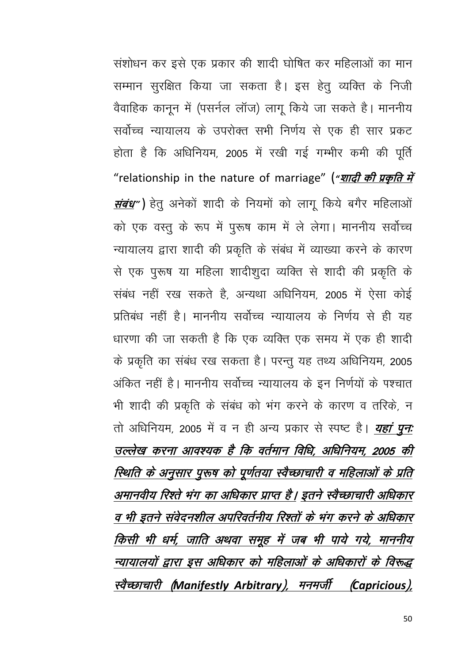संशोधन कर इसे एक प्रकार की शादी घोषित कर महिलाओं का मान सम्मान सुरक्षित किया जा सकता है। इस हेतु व्यक्ति के निजी वैवाहिक कानून में (पसर्नल लॉज) लागू किये जा सकते है। माननीय सर्वोच्च न्यायालय के उपरोक्त सभी निर्णय से एक ही सार प्रकट होता है कि अधिनियम, 2005 में रखी गई गम्भीर कमी की पूर्ति "relationship in the nature of marriage" ("*शादी की प्रकृति में संबंध"*) हेतू अनेकों शादी के नियमों को लागू किये बगैर महिलाओं को एक वस्तु के रूप में पुरूष काम में ले लेगा। माननीय सर्वोच्च न्यायालय द्वारा शादी की प्रकृति के संबंध में व्याख्या करने के कारण से एक पुरूष या महिला शादीशुदा व्यक्ति से शादी की प्रकृति के संबंध नहीं रख सकते हैं, अन्यथा अधिनियम, 2005 में ऐसा कोई प्रतिबंध नहीं है। माननीय सर्वोच्च न्यायालय के निर्णय से ही यह धारणा की जा सकती है कि एक व्यक्ति एक समय में एक ही शादी के प्रकृति का संबंध रख सकता है। परन्तु यह तथ्य अधिनियम, 2005 अंकित नहीं है। माननीय सर्वोच्च न्यायालय के इन निर्णयों के पश्चात भी शादी की प्रकृति के संबंध को भंग करने के कारण व तरिके, न तो अधिनियम, 2005 में व न ही अन्य प्रकार से स्पष्ट है। *यहां पन*: उल्लेख करना आवश्यक है कि वर्तमान विधि, अधिनियम, 2005 की स्थिति के अनुसार पुरूष को पूर्णतया स्वैच्छाचारी व महिलाओं के प्रति अमानवीय रिश्ते भंग का अधिकार प्राप्त है। इतने स्वैच्छाचारी अधिकार व भी इतने संवेदनशील अपरिवर्तनीय रिश्तों के भंग करने के अधिकार किसी भी धर्म, जाति अथवा समूह में जब भी पाये गये, माननीय न्यायालयों द्वारा इस अधिकार को महिलाओं के अधिकारों के विरूद्ध स्वैच्छाचारी (Manifestly Arbitrary), मनमर्जी (Capricious),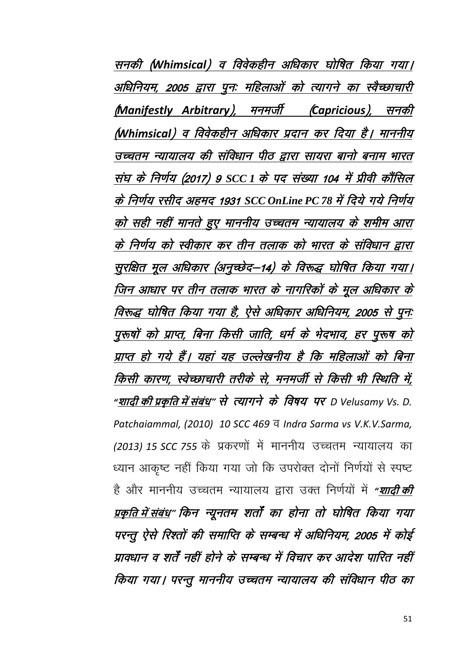सनकी (Whimsical) व विवेकहीन अधिकार घोषित किया गया। अधिनियम, 2005 द्वारा पुनः महिलाओं को त्यागने का स्वैच्छाचारी (Manifestly Arbitrary), मनमर्जी (Capricious), सनकी (Whimsical) व विवेकहीन अधिकार प्रदान कर दिया है। माननीय उच्चतम न्यायालय की संविधान पीठ द्वारा सायरा बानो बनाम भारत संघ के निर्णय (2017) 9 SCC 1 के पद संख्या 104 में प्रीवी कौंसिल के निर्णय रसीद अहमद 1931 SCC OnLine PC 78 में दिये गये निर्णय को सही नहीं मानते हुए माननीय उच्चतम न्यायालय के शमीम आरा के निर्णय को स्वीकार कर तीन तलाक को भारत के संविधान द्वारा सुरक्षित मूल अधिकार (अनुच्छेद–14) के विरूद्ध घोषित किया गया। जिन आधार पर तीन तलाक भारत के नागरिकों के मूल अधिकार के विरूद्ध घोषित किया गया है, ऐसे अधिकार अधिनियम, 2005 से पुनः पुरुषों को प्राप्त, बिना किसी जाति, धर्म के भेदभाव, हर पुरुष को प्राप्त हो गये हैं। यहां यह उल्लेखनीय है कि महिलाओं को बिना किसी कारण, स्वेच्छाचारी तरीके से, मनमर्जी से किसी भी स्थिति में, "शादी की प्रकृति में संबंध" से त्यागने के विषय पर D Velusamy Vs. D. Patchaiammal, (2010) 10 SCC 469 व Indra Sarma vs V.K.V.Sarma, (2013) 15 SCC 755 के प्रकरणों में माननीय उच्चतम न्यायालय का ध्यान आकृष्ट नहीं किया गया जो कि उपरोक्त दोनों निर्णयों से स्पष्ट है और माननीय उच्चतम न्यायालय द्वारा उक्त निर्णयों में *"शादी की* प्रकृति में संबंध्" किन न्यूनतम शर्तों का होना तो घोषित किया गया परन्तू ऐसे रिश्तों की समाप्ति के सम्बन्ध में अधिनियम, 2005 में कोई प्रावधान व शर्तें नहीं होने के सम्बन्ध में विचार कर आदेश पारित नहीं किया गया। परन्तु माननीय उच्चतम न्यायालय की संविधान पीठ का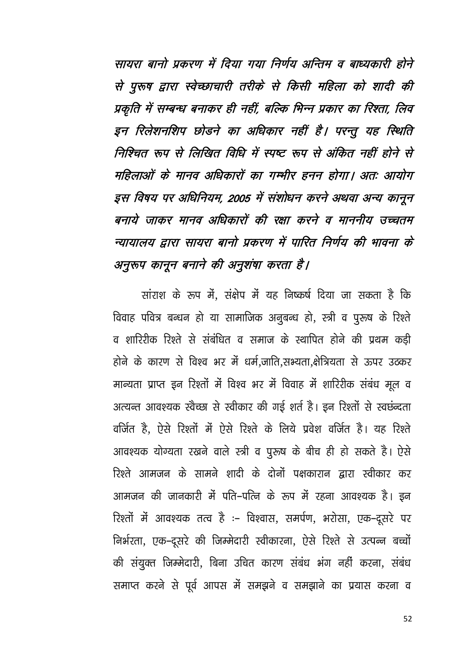सायरा बानो प्रकरण में दिया गया निर्णय अन्तिम व बाध्यकारी होने से पुरुष द्वारा स्वेच्छाचारी तरीके से किसी महिला को शादी की प्रकृति में सम्बन्ध बनाकर ही नहीं, बल्कि भिन्न प्रकार का रिश्ता, लिव इन रिलेशनशिप छोडने का अधिकार नहीं है। परन्तु यह स्थिति निश्चित रूप से लिखित विधि में स्पष्ट रूप से अंकित नहीं होने से महिलाओं के मानव अधिकारों का गम्भीर हनन होगा। अतः आयोग इस विषय पर अधिनियम, 2005 में संशोधन करने अथवा अन्य कानून बनाये जाकर मानव अधिकारों की रक्षा करने व माननीय उच्चतम न्यायालय द्वारा सायरा बानो प्रकरण में पारित निर्णय की भावना के अनुरुप कानून बनाने की अनुशंषा करता है।

सांराश के रूप में, संक्षेप में यह निष्कर्ष दिया जा सकता है कि विवाह पवित्र बन्धन हो या सामाजिक अनुबन्ध हो, स्त्री व पुरूष के रिश्ते व शारिरीक रिश्ते से संबंधित व समाज के स्थापित होने की प्रथम कड़ी होने के कारण से विश्व भर में धर्म,जाति,सभ्यता,क्षेत्रियता से ऊपर उठकर मान्यता प्राप्त इन रिश्तों में विश्व भर में विवाह में शारिरीक संबंध मूल व अत्यन्त आवश्यक स्वैच्छा से स्वीकार की गई शर्त है। इन रिश्तों से स्वछंन्दता वर्जित है, ऐसे रिश्तों में ऐसे रिश्ते के लिये प्रवेश वर्जित है। यह रिश्ते आवश्यक योग्यता रखने वाले स्त्री व पुरुष के बीच ही हो सकते है। ऐसे रिश्ते आमजन के सामने शादी के दोनों पक्षकारान द्वारा स्वीकार कर आमजन की जानकारी में पति–पत्नि के रूप में रहना आवश्यक है। इन रिश्तों में आवश्यक तत्व है :- विश्वास, समर्पण, भरोसा, एक-दूसरे पर निर्भरता, एक-दूसरे की जिम्मेदारी स्वीकारना, ऐसे रिश्ते से उत्पन्न बच्चों की संयुक्त जिम्मेदारी, बिना उचित कारण संबंध भंग नहीं करना, संबंध समाप्त करने से पूर्व आपस में समझने व समझाने का प्रयास करना व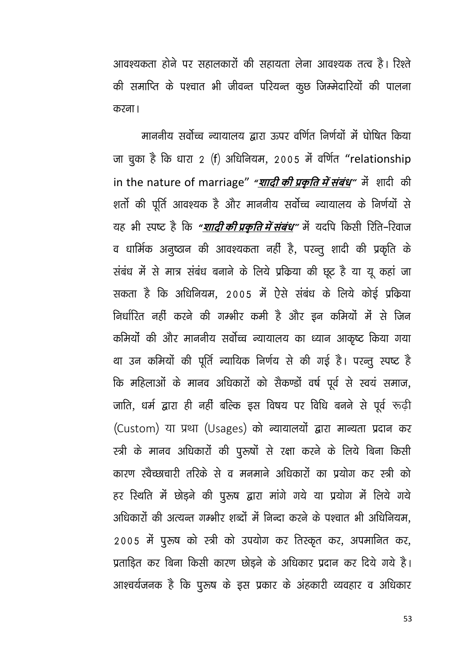आवश्यकता होने पर सहालकारों की सहायता लेना आवश्यक तत्व है। रिश्ते की समाप्ति के पश्चात भी जीवन्त परियन्त कुछ जिम्मेदारियों की पालना करना ।

माननीय सर्वोच्च न्यायालय द्वारा ऊपर वर्णित निर्णयों में घोषित किया जा चुका है कि धारा 2 (f) अधिनियम, 2005 में वर्णित "relationship in the nature of marriage" "शादी की प्रकृति में संबंध" में शादी की शर्तो की पूर्ति आवश्यक है और माननीय सर्वोच्च न्यायालय के निर्णयों से यह भी स्पष्ट है कि *"<u>शादी की प्रकृति में संबंध"* में यदपि किसी रिति-रिवाज</u> व धार्मिक अनुष्ठान की आवश्यकता नहीं है, परन्तू शादी की प्रकृति के संबंध में से मात्र संबंध बनाने के लिये प्रकिया की छूट है या यू कहां जा सकता है कि अधिनियम, 2005 में ऐसे संबंध के लिये कोई प्रक्रिया निर्धारित नहीं करने की गम्भीर कमी है और इन कमियों में से जिन कमियों की और माननीय सर्वोच्च न्यायालय का ध्यान आकृष्ट किया गया था उन कमियों की पूर्ति न्यायिक निर्णय से की गई है। परन्तु स्पष्ट है कि महिलाओं के मानव अधिकारों को सैकण्डों वर्ष पूर्व से स्वयं समाज, जाति, धर्म द्वारा ही नहीं बल्कि इस विषय पर विधि बनने से पूर्व रूढ़ी (Custom) या प्रथा (Usages) को न्यायालयों द्वारा मान्यता प्रदान कर स्त्री के मानव अधिकारों की पुरूषों से रक्षा करने के लिये बिना किसी कारण स्वैच्छाचारी तरिके से व मनमाने अधिकारों का प्रयोग कर स्त्री को हर रिथति में छोड़ने की पूरुष द्वारा मांगे गये या प्रयोग में लिये गये अधिकारों की अत्यन्त गम्भीर शब्दों में निन्दा करने के पश्चात भी अधिनियम, 2005 में पुरुष को स्त्री को उपयोग कर तिस्कृत कर, अपमानित कर, प्रताडित कर बिना किसी कारण छोडने के अधिकार प्रदान कर दिये गये है। आश्चर्यजनक है कि पुरुष के इस प्रकार के अंहकारी व्यवहार व अधिकार

53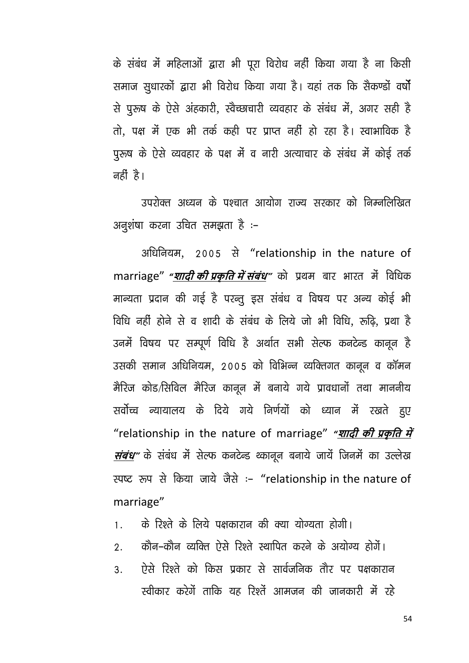के संबंध में महिलाओं द्वारा भी पूरा विरोध नहीं किया गया है ना किसी समाज सुधारकों द्वारा भी विरोध किया गया है। यहां तक कि सैकण्डों वर्षो से पुरूष के ऐसे अंहकारी, स्वैच्छाचारी व्यवहार के संबंध में, अगर सही है तो, पक्ष में एक भी तर्क कही पर प्राप्त नहीं हो रहा है। स्वाभाविक है पुरूष के ऐसे व्यवहार के पक्ष में व नारी अत्याचार के संबंध में कोई तर्क नहीं है।

उपरोक्त अध्यन के पश्चात आयोग राज्य सरकार को निम्नलिखित अनुशंषा करना उचित समझता है :-

अधिनियम, 2005 से "relationship in the nature of marriage" "*शादी की प्रकृति में संबंध*" को प्रथम बार भारत में विधिक मान्यता प्रदान की गई है परन्तु इस संबंध व विषय पर अन्य कोई भी विधि नहीं होने से व शादी के संबंध के लिये जो भी विधि, रूढ़ि, प्रथा है उनमें विषय पर सम्पूर्ण विधि है अर्थात सभी सेल्फ कनटेन्ड कानून है उसकी समान अधिनियम, 2005 को विभिन्न व्यक्तिगत कानून व कॉमन मैरिज कोड/सिविल मैरिज कानून में बनाये गये प्रावधानों तथा माननीय सर्वोच्च न्यायालय के दिये गये निर्णयों को ध्यान में रखते हुए "relationship in the nature of marriage" "*शादी की प्रकृति में संबंध"* के संबंध में सेल्फ कनटेन्ड थ्कानून बनाये जायें जिनमें का उल्लेख स्पष्ट रूप से किया जाये जैसे :- "relationship in the nature of marriage"

- के रिश्ते के लिये पक्षकारान की क्या योग्यता होगी।  $1<sub>1</sub>$
- कौन-कौन व्यक्ति ऐसे रिश्ते स्थापित करने के अयोग्य होगें।  $\overline{2}$ .
- ऐसे रिश्ते को किस प्रकार से सार्वजनिक तौर पर पक्षकारान  $\mathbf{3}$ स्वीकार करेगें ताकि यह रिश्तें आमजन की जानकारी में रहे

54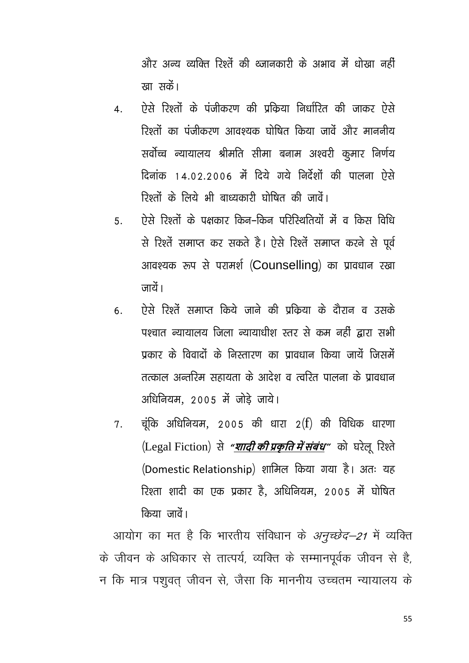और अन्य त्यक्ति रिश्तें की थ्जानकारी के अभाव में धोखा नहीं रवा सकें।

- ऐसे रिश्तों के पंजीकरण की प्रकिया निर्धारित की जाकर ऐसे  $\overline{4}$ रिश्तों का पंजीकरण आवश्यक घोषित किया जावें और माननीय सर्वोच्च न्यायालय श्रीमति सीमा बनाम अश्वरी कुमार निर्णय दिनांक 14.02.2006 में दिये गये निर्देशों की पालना ऐसे रिश्तों के लिये भी बाध्यकारी घोषित की जातें।
- ऐसे रिश्तों के पक्षकार किन-किन परिरिथतियों में व किस विधि  $5<sub>1</sub>$ से रिश्तें समाप्त कर सकते है। ऐसे रिश्तें समाप्त करने से पूर्व आवश्यक रूप से परामर्श (Counselling) का प्रावधान रखा ਗ਼ਿਹੇ ।
- ऐसे रिश्तें समाप्त किये जाने की पकिया के दौरान व उसके 6. पश्चात न्यायालय जिला न्यायाधीश स्तर से कम नहीं द्वारा सभी प्रकार के विवादों के निस्तारण का प्रावधान किया जायें जिसमें तत्काल अन्तरिम सहायता के आदेश व त्वरित पालना के पावधान अधिनियम, 2005 में जोडे जाये।
- चूंकि अधिनियम, 2005 की धारा 2(f) की विधिक धारणा 7. (Legal Fiction) से "शादी की प्रकृति में संबंध" को घरेलू रिश्ते (Domestic Relationship) शामिल किया गया है। अतः यह रिश्ता शादी का एक प्रकार है, अधिनियम, 2005 में घोषित किया जातें।

आयोग का मत है कि भारतीय संविधान के *अनुच्छेद–21* में व्यक्ति के जीवन के अधिकार से तात्पर्य, व्यक्ति के सम्मानपूर्वक जीवन से है, न कि मात्र पशुवत् जीवन से, जैसा कि माननीय उच्चतम न्यायालय के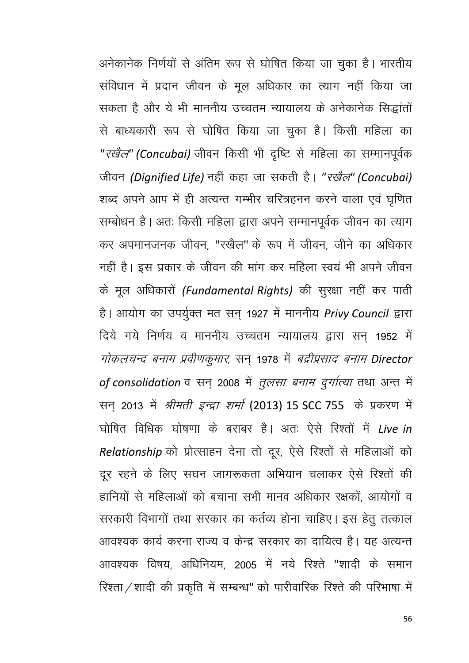अनेकानेक निर्णयों से अंतिम रूप से घोषित किया जा चुका है। भारतीय संविधान में प्रदान जीवन के मूल अधिकार का त्याग नहीं किया जा सकता है और ये भी माननीय उच्चतम न्यायालय के अनेकानेक सिद्धांतों से बाध्यकारी रूप से घोषित किया जा चुका है। किसी महिला का "रखैल" (Concubai) जीवन किसी भी दृष्टि से महिला का सम्मानपूर्वक जीवन *(Dignified Life)* नहीं कहा जा सकती है। "*रखैल*" *(Concubai)* शब्द अपने आप में ही अत्यन्त गम्भीर चरित्रहनन करने वाला एवं घृणित सम्बोधन है। अतः किसी महिला द्वारा अपने सम्मानपूर्वक जीवन का त्याग कर अपमानजनक जीवन, "रखैल" के रूप में जीवन, जीने का अधिकार नहीं है। इस प्रकार के जीवन की मांग कर महिला स्वयं भी अपने जीवन के मूल अधिकारों (Fundamental Rights) की सुरक्षा नहीं कर पाती है। आयोग का उपर्युक्त मत सन् 1927 में माननीय Privy Council द्वारा दिये गये निर्णय व माननीय उच्चतम न्यायालय द्वारा सन् 1952 में गोकलचन्द बनाम प्रवीणकुमार, सन् 1978 में बद्रीप्रसाद बनाम Director of consolidation व सन् 2008 में *तुलसा बनाम दुर्गात्या* तथा अन्त में सन् 2013 में *श्रीमती इन्द्रा शर्मा* (2013) 15 SCC 755 के प्रकरण में घोषित विधिक घोषणा के बराबर है। अतः ऐसे रिश्तों में Live in Relationship को प्रोत्साहन देना तो दूर, ऐसे रिश्तों से महिलाओं को दूर रहने के लिए सघन जागरूकता अभियान चलाकर ऐसे रिश्तों की हानियों से महिलाओं को बचाना सभी मानव अधिकार रक्षकों आयोगों व सरकारी विभागों तथा सरकार का कर्तव्य होना चाहिए। इस हेतु तत्काल आवश्यक कार्य करना राज्य व केन्द्र सरकार का दायित्व है। यह अत्यन्त आवश्यक विषय अधिनियम 2005 में नये रिश्ते "शादी के समान रिश्ता / शादी की प्रकृति में सम्बन्ध" को पारीवारिक रिश्ते की परिभाषा में